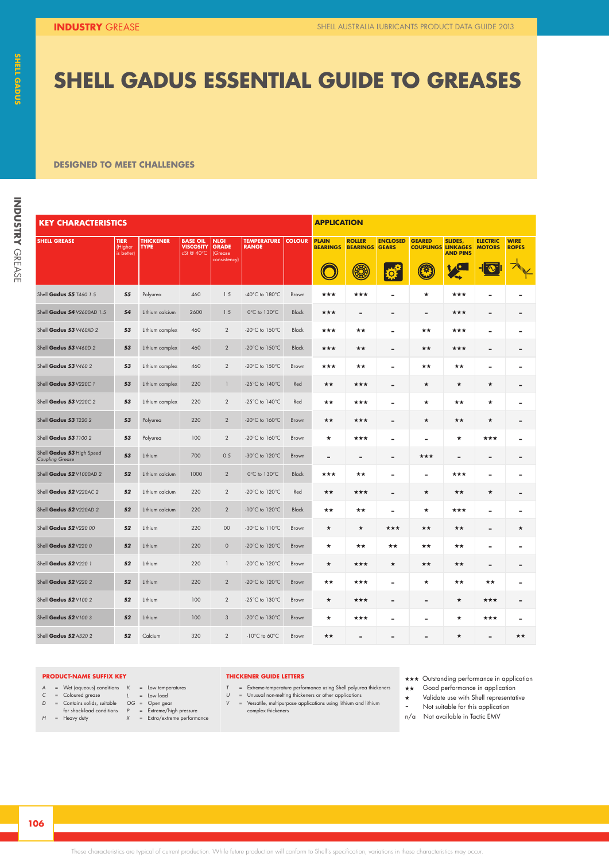### **SHELL GADUS ESSENTIAL GUIDE TO GREASES SHELL GADUS ESSENTIAL GUIDE TO GREASES**

#### **DESIGNED TO MEET CHALLENGES**

| Ü      |  |
|--------|--|
|        |  |
|        |  |
|        |  |
|        |  |
|        |  |
|        |  |
| I      |  |
|        |  |
|        |  |
|        |  |
| ı      |  |
|        |  |
|        |  |
|        |  |
| ׇ֚֚֬   |  |
|        |  |
|        |  |
|        |  |
|        |  |
|        |  |
|        |  |
|        |  |
|        |  |
|        |  |
|        |  |
|        |  |
|        |  |
|        |  |
|        |  |
|        |  |
|        |  |
|        |  |
|        |  |
|        |  |
|        |  |
|        |  |
|        |  |
|        |  |
|        |  |
|        |  |
|        |  |
|        |  |
|        |  |
|        |  |
|        |  |
|        |  |
|        |  |
|        |  |
|        |  |
| Ħ.     |  |
| ī      |  |
| į      |  |
| I      |  |
|        |  |
|        |  |
|        |  |
|        |  |
| I      |  |
|        |  |
|        |  |
|        |  |
|        |  |
| ı      |  |
|        |  |
| ø<br>۱ |  |
| r.     |  |
|        |  |
|        |  |
|        |  |
|        |  |
|        |  |
|        |  |
|        |  |
|        |  |
|        |  |
|        |  |
|        |  |
| ï<br>١ |  |
|        |  |

| <b>KEY CHARACTERISTICS</b>                          |                       |                                 |                                     |                             |                                      |               | <b>APPLICATION</b>              |                                  |                                 |                                            |                              |                                  |                             |
|-----------------------------------------------------|-----------------------|---------------------------------|-------------------------------------|-----------------------------|--------------------------------------|---------------|---------------------------------|----------------------------------|---------------------------------|--------------------------------------------|------------------------------|----------------------------------|-----------------------------|
| <b>SHELL GREASE</b>                                 | <b>TIER</b><br>(Highe | <b>THICKENER</b><br><b>TYPE</b> | <b>BASE OIL</b><br><b>VISCOSITY</b> | <b>NLGI</b><br><b>GRADE</b> | <b>TEMPERATURE</b><br><b>RANGE</b>   | <b>COLOUR</b> | <b>PLAIN</b><br><b>BEARINGS</b> | <b>ROLLER</b><br><b>BEARINGS</b> | <b>ENCLOSED</b><br><b>GEARS</b> | <b>GEARED</b><br><b>COUPLINGS LINKAGES</b> | SLIDES,                      | <b>ELECTRIC</b><br><b>MOTORS</b> | <b>WIRE</b><br><b>ROPES</b> |
|                                                     | is better             |                                 | $cSt@40^{\circ}C$                   | Grease<br>consistency       |                                      |               | $\mathbb C$                     | ۳                                | $\mathbf{E}$                    | 0                                          | <b>AND PINS</b><br><b>VO</b> | $\frac{1}{2}$                    | ⊃₩                          |
|                                                     |                       |                                 |                                     |                             |                                      |               |                                 |                                  |                                 |                                            |                              |                                  |                             |
| Shell Gadus 55 T460 1.5                             | 55                    | Polyurea                        | 460                                 | 1.5                         | -40 $^{\circ}$ C to 180 $^{\circ}$ C | Brown         | ***                             | ***                              | $\sim$                          | $\star$                                    | ***                          | $\blacksquare$                   | $\sim$                      |
| Shell Gadus 54 V2600AD 1.5                          | 54                    | Lithium calcium                 | 2600                                | 1.5                         | $0^{\circ}$ C to $130^{\circ}$ C     | Black         | ***                             | $\overline{\phantom{a}}$         | $\overline{\phantom{a}}$        |                                            | ***                          | $\overline{\phantom{a}}$         | $\sim$                      |
| Shell Gadus 53 V460XD 2                             | 53                    | Lithium complex                 | 460                                 | 2                           | -20 $^{\circ}$ C to 150 $^{\circ}$ C | Black         | ***                             | **                               | $\sim$                          | $\star\star$                               | ***                          | $\overline{\phantom{a}}$         | $\sim$                      |
| Shell Gadus S3 V460D 2                              | 53                    | Lithium complex                 | 460                                 | 2                           | -20 $^{\circ}$ C to 150 $^{\circ}$ C | Black         | ***                             | **                               | ٠                               | $\star\star$                               | ***                          |                                  | $\sim$                      |
| Shell Gadus 53 V460 2                               | 53                    | Lithium complex                 | 460                                 | $\overline{2}$              | -20 $^{\circ}$ C to 150 $^{\circ}$ C | Brown         | ***                             | ★★                               | $\sim$                          | ★★                                         | **                           | $\sim$                           | $\sim$                      |
| Shell Gadus 53 V220C 1                              | 53                    | Lithium complex                 | 220                                 |                             | -25 $^{\circ}$ C to 140 $^{\circ}$ C | Red           | **                              | ***                              | $\overline{\phantom{a}}$        |                                            | $\star$                      | $\star$                          | $\sim$                      |
| Shell Gadus 53 V220C 2                              | 53                    | Lithium complex                 | 220                                 | $\overline{2}$              | -25 $^{\circ}$ C to 140 $^{\circ}$ C | Red           | **                              | ***                              | ٠                               | $\star$                                    | **                           | *                                | $\sim$                      |
|                                                     |                       |                                 |                                     |                             |                                      |               |                                 |                                  |                                 |                                            |                              |                                  |                             |
| Shell Gadus 53 7220 2                               | 53                    | Polyurea                        | 220                                 | 2                           | -20 $^{\circ}$ C to 160 $^{\circ}$ C | Brown         | **                              | ***                              | $\overline{\phantom{a}}$        |                                            | **                           | $\star$                          | $\sim$                      |
| Shell Gadus 53 T100 2                               | 53                    | Polyurea                        | 100                                 | $\overline{2}$              | $-20^{\circ}$ C to $160^{\circ}$ C   | Brown         | ★                               | ***                              | $\sim$                          | $\sim$                                     | *                            | ***                              | $\sim$                      |
| Shell Gadus 53 High Speed<br><b>Coupling Grease</b> | 53                    | Lithium                         | 700                                 | 0.5                         | -30 $\degree$ C to 120 $\degree$ C   | Brown         | ٠                               | $\overline{\phantom{a}}$         | $\overline{\phantom{a}}$        | ***                                        | ٠                            | $\sim$                           | $\sim$                      |
| Shell Gadus 52 V1000AD 2                            | 52                    | Lithium calcium                 | 1000                                | -2                          | 0°C to 130°C                         | Black         | ★★★                             | **                               | $\sim$                          | $\sim$                                     | ★★★                          | $\sim$                           | $\sim$                      |
| Shell Gadus 52 V220AC 2                             | 52                    | Lithium calcium                 | 220                                 | 2                           | $-20^{\circ}$ C to $120^{\circ}$ C   | Red           | **                              | ***                              | ٠                               |                                            | **                           | *                                | $\sim$                      |
| Shell Gadus 52 V220AD 2                             | 52                    | Lithium calcium                 | 220                                 | $\overline{2}$              | $-10^{\circ}$ C to $120^{\circ}$ C   | Black         | **                              | **                               | $\overline{\phantom{a}}$        | $\star$                                    | ***                          | . .                              | $\sim$                      |
| Shell Gadus 52 V220 00                              | 52                    | Lithium                         | 220                                 | 00 <sub>o</sub>             | $-30^{\circ}$ C to $110^{\circ}$ C   | Brown         | $\star$                         | $\star$                          | ***                             | $\star\star$                               | $\star\star$                 |                                  | $\star$                     |
|                                                     |                       |                                 | 220                                 |                             |                                      |               |                                 |                                  |                                 |                                            |                              |                                  |                             |
| Shell Gadus 52 V2200                                |                       | 52 Lithium                      |                                     | $\circ$                     | -20 $\degree$ C to 120 $\degree$ C   | Brown         | *                               | **                               | **                              | **                                         | **                           |                                  | $\overline{\phantom{a}}$    |
| Shell Gadus 52 V220 1                               |                       | 52 Lithium                      | 220                                 |                             | $-20^{\circ}$ C to $120^{\circ}$ C   | Brown         | $\star$                         | ***                              | $\star$                         | **                                         | **                           |                                  | $\sim$                      |
| Shell Gadus 52 V220 2                               | 52                    | Lithium                         | 220                                 | $\overline{2}$              | -20 $^{\circ}$ C to 120 $^{\circ}$ C | Brown         | **                              | ***                              | $\sim$                          | $\star$                                    | **                           | **                               | $\sim$                      |
| Shell Gadus 52 V100 2                               |                       | 52 Lithium                      | 100                                 | $\overline{2}$              | $-25^{\circ}$ C to $130^{\circ}$ C   | Brown         | $\star$                         | ***                              | ٠                               |                                            | $\star$                      | ***                              | $\sim$                      |
| Shell Gadus 52 V100 3                               | 52                    | Lithium                         | 100                                 | $\mathbf{3}$                | -20°C to 130°C                       | Brown         | ★                               | ***                              | $\overline{\phantom{a}}$        | <b>COL</b>                                 | ★                            | ***                              | $\sim$                      |
| Shell Gadus S2 A320 2                               | 52                    | Calcium                         | 320                                 | $\overline{2}$              | $-10^{\circ}$ C to 60 $^{\circ}$ C   | Brown         | **                              |                                  |                                 |                                            | *                            |                                  | $\star\star$                |

#### **PRODUCT-NAME SUFFIX KEY**

- 
- *A* = Wet (aqueous) conditions *C* = Coloured grease *D* = Contains solids, suitable for shock-load conditions *H* = Heavy duty
- 
- 
- *K* = Low temperatures *L* = Low load *OG* = Open gear *P* = Extreme/high pressure *X* = Extra/extreme performance
- -

#### **THICKENER GUIDE LETTERS**

- *T* = Extreme-temperature performance using Shell polyurea thickeners
	-
- *U* = Unusual non-melting thickeners or other applications *V* = Versatile, multipurpose applications using lithium and lithium complex thickeners
- Validate use with Shell representative - Not suitable for this application
	- n/a Not available in Tactic EMV

 $\star\star\star$  Outstanding performance in application \*\* Good performance in application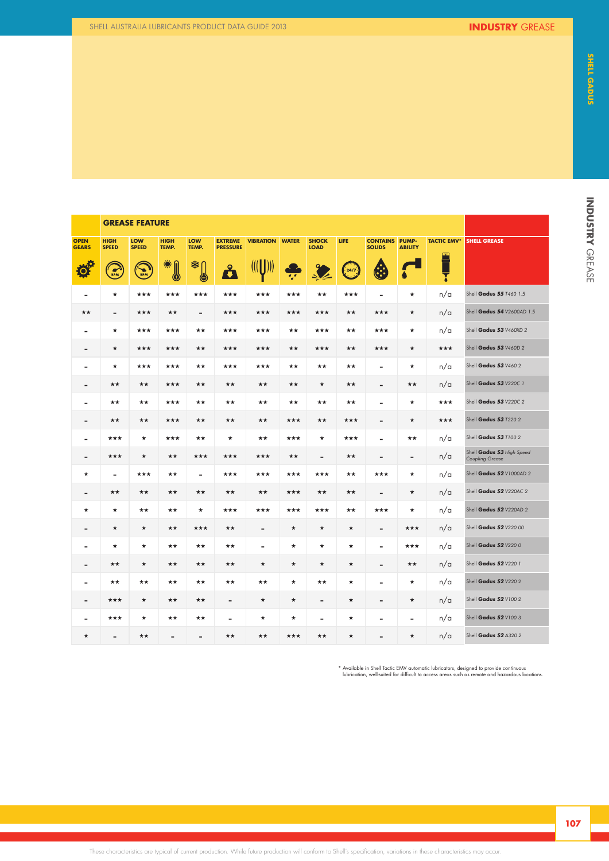**KERASE FEATURE** 

| <b>OPEN</b><br><b>GEARS</b> | <b>HIGH</b><br><b>SPEED</b> | LOW<br><b>SPEED</b> | <b>HIGH</b><br>TEMP.     | LOW<br>TEMP.             | <b>PRESSURE</b> | <b>EXTREME VIBRATION WATER</b>                                               |         | <b>SHOCK</b><br><b>LOAD</b> | LIFE.                       | <b>CONTAINS PUMP-</b><br><b>SOLIDS</b> | <b>ABILITY</b> |     | TACTIC EMV <sup>*</sup> SHELL GREASE                |
|-----------------------------|-----------------------------|---------------------|--------------------------|--------------------------|-----------------|------------------------------------------------------------------------------|---------|-----------------------------|-----------------------------|----------------------------------------|----------------|-----|-----------------------------------------------------|
| <b>REA</b>                  | $\frac{1}{RPM}$             | Q<br>RPM            | E.                       | ≉∩<br>4                  | å               | $\left(\left(\left[\begin{array}{c} 1 \\ 1 \end{array}\right]\right)\right)$ | يه      | $\frac{1}{2}$               | $\left(\frac{24}{7}\right)$ | $\bigcirc$                             |                | ≧   |                                                     |
| $\sim$                      | ★                           | ***                 | ***                      | ***                      | ***             | ***                                                                          | ***     | **                          | ***                         | $\sim$                                 | $\star$        | n/a | Shell Gadus 55 T460 1.5                             |
| **                          | $\,$                        | ***                 | **                       | $\sim$                   | ***             | ***                                                                          | ***     | ***                         | **                          | ***                                    | $\star$        | n/a | Shell Gadus 54 V2600AD 1.5                          |
| $\sim$                      | $\star$                     | ***                 | ***                      | **                       | ***             | ***                                                                          | **      | ***                         | ★★                          | ***                                    | $\star$        | n/a | Shell Gadus 53 V460XD 2                             |
| $\sim$                      | $\star$                     | ***                 | ***                      | **                       | ***             | ***                                                                          | **      | ***                         | **                          | ***                                    | $\star$        | *** | Shell Gadus 53 V460D 2                              |
| $\sim$                      | $\star$                     | ***                 | ***                      | **                       | ***             | ***                                                                          | **      | ★★                          | $\star\star$                | $\sim$                                 | $\star$        | n/a | Shell Gadus 53 V460 2                               |
| $\sim$                      | $\star\star$                | **                  | ***                      | **                       | **              | **                                                                           | **      | $\star$                     | **                          | $\sim$                                 | $\star\star$   | n/a | Shell Gadus 53 V220C 1                              |
| $\sim$                      | **                          | **                  | ***                      | **                       | **              | **                                                                           | **      | **                          | $\star\star$                | $\sim$                                 | $\star$        | *** | Shell Gadus 53 V220C 2                              |
| $\sim$                      | **                          | **                  | ***                      | **                       | **              | **                                                                           | ***     | **                          | ***                         | $\sim$                                 | $\star$        | *** | Shell Gadus 53 T220 2                               |
| $\sim$                      | ***                         | ★                   | ***                      | **                       | $\star$         | **                                                                           | ***     | $\star$                     | ***                         | $\sim$                                 | **             | n/a | Shell Gadus 53 T100 2                               |
| $\overline{\phantom{a}}$    | ***                         | ★                   | **                       | ***                      | ***             | ***                                                                          | **      | $\overline{\phantom{a}}$    | **                          | $\sim$                                 | $\sim$         | n/a | Shell Gadus 53 High Speed<br><b>Coupling Grease</b> |
| $\star$                     | $\sim$                      | ***                 | **                       | $\sim$                   | ★★★             | ***                                                                          | ***     | ***                         | ★★                          | ***                                    | $\star$        | n/a | Shell Gadus 52 V1000AD 2                            |
| $\sim$                      | ★★                          | ★★                  | **                       | ★★                       | **              | **                                                                           | ***     | ★★                          | ★★                          | $\sim$                                 | $\star$        | n/a | Shell Gadus 52 V220AC 2                             |
| $\star$                     | $\star$                     | ★★                  | **                       | $\star$                  | ***             | ***                                                                          | ***     | ***                         | **                          | ***                                    | $\star$        | n/a | Shell Gadus 52 V220AD 2                             |
| $\sim$                      | $\star$                     | $\star$             | **                       | ***                      | ★★              | $\blacksquare$                                                               | $\star$ | $\star$                     | $\star$                     | $\sim$                                 | ***            | n/a | Shell Gadus 52 V220 00                              |
| $\sim$                      | ★                           | *                   | **                       | **                       | **              | $\sim$                                                                       | $\star$ | $\star$                     | $\star$                     | $\sim$                                 | ***            | n/a | Shell Gadus 52 V2200                                |
| $\sim$                      | **                          | $\star$             | **                       | ★★                       | **              | $\star$                                                                      | $\star$ | $\star$                     | $\star$                     | $\sim$                                 | **             | n/a | Shell Gadus 52 V220 1                               |
| $\sim$                      | **                          | **                  | **                       | **                       | **              | **                                                                           | $\star$ | **                          | $\star$                     | $\sim$                                 | $\star$        | n/a | Shell Gadus 52 V220 2                               |
| $\sim$                      | ***                         | ★                   | **                       | ★★                       | $\sim$          | ★                                                                            | ★       | $\sim$                      | $\star$                     | $\sim$                                 | $\star$        | n/a | Shell Gadus 52 V100 2                               |
| $\sim$                      | ***                         | ★                   | **                       | **                       | $\sim$          | $\star$                                                                      | ★       | $\sim$                      | $\star$                     | $\sim$                                 | $\sim$         | n/a | Shell Gadus 52 V100 3                               |
| $\star$                     | $\,$                        | **                  | $\overline{\phantom{a}}$ | $\overline{\phantom{a}}$ | **              | **                                                                           | ***     | **                          | $\star$                     | $\sim$                                 | $\star$        | n/a | Shell Gadus 52 A320 2                               |

\* Available in Shell Tactic EMV automatic lubricators, designed to provide continuous lubrication, well-suited for difficult to access areas such as remote and hazardous locations. Outstanding performance in application

**107**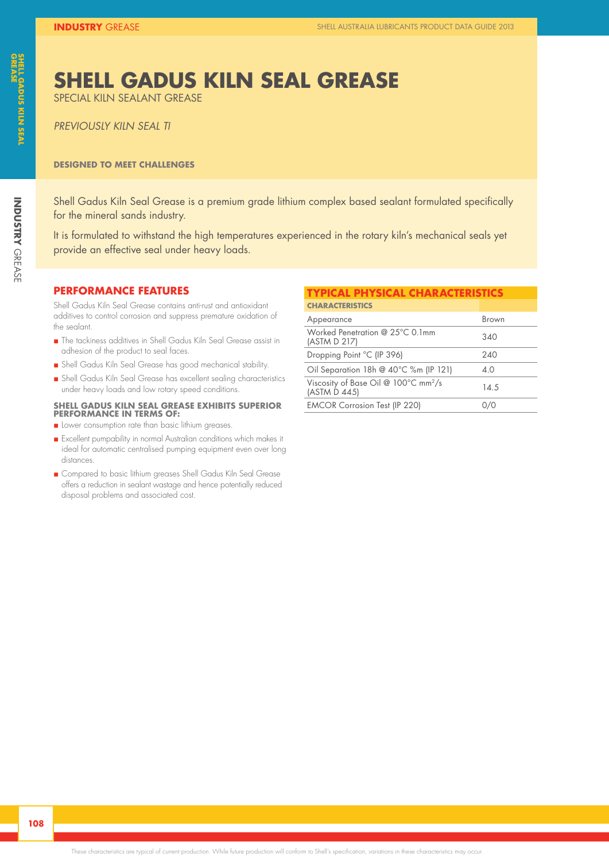### **SHELL GADUS KILN SEAL GREASE**

SPECIAL KILN SEALANT GREASE

*PREVIOUSLY KILN SEAL TI*

#### **DESIGNED TO MEET CHALLENGES**

Shell Gadus Kiln Seal Grease is a premium grade lithium complex based sealant formulated specifically for the mineral sands industry.

It is formulated to withstand the high temperatures experienced in the rotary kiln's mechanical seals yet provide an effective seal under heavy loads.

#### **PERFORMANCE FEATURES**

Shell Gadus Kiln Seal Grease contains anti-rust and antioxidant additives to control corrosion and suppress premature oxidation of the sealant.

- n The tackiness additives in Shell Gadus Kiln Seal Grease assist in adhesion of the product to seal faces.
- n Shell Gadus Kiln Seal Grease has good mechanical stability.
- n Shell Gadus Kiln Seal Grease has excellent sealing characteristics under heavy loads and low rotary speed conditions.

#### **SHELL GADUS KILN SEAL GREASE EXHIBITS SUPERIOR PERFORMANCE IN TERMS OF:**

- **n** Lower consumption rate than basic lithium greases.
- n Excellent pumpability in normal Australian conditions which makes it ideal for automatic centralised pumping equipment even over long distances.
- n Compared to basic lithium greases Shell Gadus Kiln Seal Grease offers a reduction in sealant wastage and hence potentially reduced disposal problems and associated cost.

#### **TYPICAL PHYSICAL CHARACTERISTICS**

| <b>CHARACTERISTICS</b>                                           |       |
|------------------------------------------------------------------|-------|
| Appearance                                                       | Brown |
| Worked Penetration @ 25°C 0.1mm<br>(ASTM D 217)                  | 340   |
| Dropping Point °C (IP 396)                                       | 240   |
| Oil Separation 18h @ 40°C %m (IP 121)                            | 4.0   |
| Viscosity of Base Oil @ 100°C mm <sup>2</sup> /s<br>(ASTM D 445) | 14.5  |
| <b>EMCOR Corrosion Test (IP 220)</b>                             |       |

**INDUSTRY**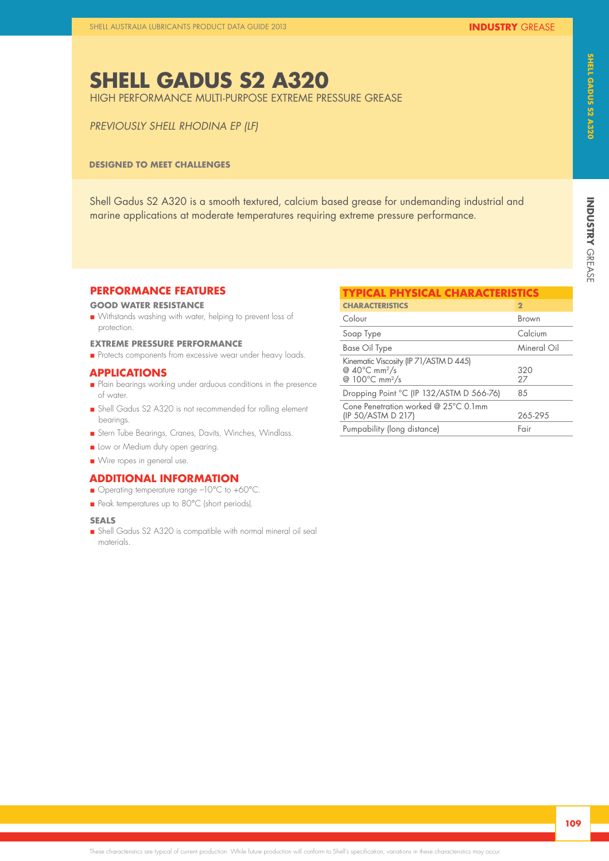### **SHELL GADUS S2 A320**

HIGH PERFORMANCE MULTI-PURPOSE EXTREME PRESSURE GREASE

#### *PREVIOUSLY SHELL RHODINA EP (LF)*

#### **DESIGNED TO MEET CHALLENGES**

Shell Gadus S2 A320 is a smooth textured, calcium based grease for undemanding industrial and marine applications at moderate temperatures requiring extreme pressure performance.

#### **PERFORMANCE FEATURES**

#### **GOOD WATER RESISTANCE**

n Withstands washing with water, helping to prevent loss of protection.

#### **EXTREME PRESSURE PERFORMANCE**

**n** Protects components from excessive wear under heavy loads.

#### **APPLICATIONS**

- n Plain bearings working under arduous conditions in the presence of water.
- n Shell Gadus S2 A320 is not recommended for rolling element bearings.
- n Stern Tube Bearings, Cranes, Davits, Winches, Windlass.
- **n** Low or Medium duty open gearing.
- Wire ropes in general use.

#### **ADDITIONAL INFORMATION**

- Operating temperature range -10°C to +60°C.
- Peak temperatures up to 80°C (short periods).

#### **SEALS**

n Shell Gadus S2 A320 is compatible with normal mineral oil seal materials.

| <b>TYPICAL PHYSICAL CHARACTERISTICS</b>                                                                               |              |
|-----------------------------------------------------------------------------------------------------------------------|--------------|
| <b>CHARACTERISTICS</b>                                                                                                | $\mathbf{2}$ |
| Colour                                                                                                                | Brown        |
| Soap Type                                                                                                             | Calcium      |
| Base Oil Type                                                                                                         | Mineral Oil  |
| Kinematic Viscosity (IP 71/ASTM D 445)<br>@ $40^{\circ}$ C mm <sup>2</sup> /s<br>@ 100 $\degree$ C mm <sup>2</sup> /s | 320<br>27    |
| Dropping Point °C (IP 132/ASTM D 566-76)                                                                              | 85           |
| Cone Penetration worked @ $25^{\circ}$ C 0.1mm<br>(IP 50/ASTM D 217)                                                  | 265-295      |
| Pumpability (long distance)                                                                                           | Fair         |

**INDUSTRY** 

**INDUSTRY GREASE** 

GREASE **SHELL GADUS S2 A320**

SHELL GADUS 52 A320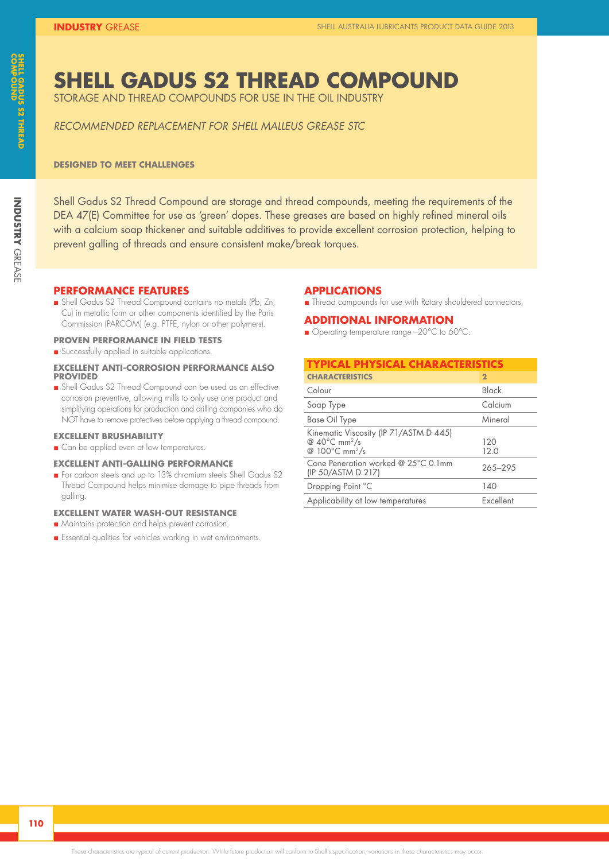### **SHELL GADUS S2 THREAD COMPOUND**

STORAGE AND THREAD COMPOUNDS FOR USE IN THE OIL INDUSTRY

*RECOMMENDED REPLACEMENT FOR SHELL MALLEUS GREASE STC*

#### **DESIGNED TO MEET CHALLENGES**

Shell Gadus S2 Thread Compound are storage and thread compounds, meeting the requirements of the DEA 47(E) Committee for use as 'green' dopes. These greases are based on highly refined mineral oils with a calcium soap thickener and suitable additives to provide excellent corrosion protection, helping to prevent galling of threads and ensure consistent make/break torques.

#### **PERFORMANCE FEATURES**

n Shell Gadus S2 Thread Compound contains no metals (Pb, Zn, Cu) in metallic form or other components identified by the Paris Commission (PARCOM) (e.g. PTFE, nylon or other polymers).

#### **PROVEN PERFORMANCE IN FIELD TESTS**

n Successfully applied in suitable applications.

#### **EXCELLENT ANTI-CORROSION PERFORMANCE ALSO PROVIDED**

n Shell Gadus S2 Thread Compound can be used as an effective corrosion preventive, allowing mills to only use one product and simplifying operations for production and drilling companies who do NOT have to remove protectives before applying a thread compound.

#### **EXCELLENT BRUSHABILITY**

**n** Can be applied even at low temperatures.

#### **EXCELLENT ANTI-GALLING PERFORMANCE**

n For carbon steels and up to 13% chromium steels Shell Gadus S2 Thread Compound helps minimise damage to pipe threads from galling.

#### **EXCELLENT WATER WASH-OUT RESISTANCE**

- **n** Maintains protection and helps prevent corrosion.
- n Essential qualities for vehicles working in wet environments.

#### **APPLICATIONS**

**n** Thread compounds for use with Rotary shouldered connectors.

#### **ADDITIONAL INFORMATION**

■ Operating temperature range -20°C to 60°C.

| <b>TYPICAL PHYSICAL CHARACTERISTICS</b>                                                                     |              |
|-------------------------------------------------------------------------------------------------------------|--------------|
| <b>CHARACTERISTICS</b>                                                                                      | $\mathbf{2}$ |
| Colour                                                                                                      | Black        |
| Soap Type                                                                                                   | Calcium      |
| Base Oil Type                                                                                               | Mineral      |
| Kinematic Viscosity (IP 71/ASTM D 445)<br>@ $40^{\circ}$ C mm <sup>2</sup> /s<br>@ 100°C mm <sup>2</sup> /s | 120<br>12.0  |
| Cone Peneration worked @ 25°C 0.1mm<br>(IP 50/ASTM D 217)                                                   | 265-295      |
| Dropping Point °C                                                                                           | 140          |
| Applicability at low temperatures                                                                           | Excellent    |

**INDUSTRY**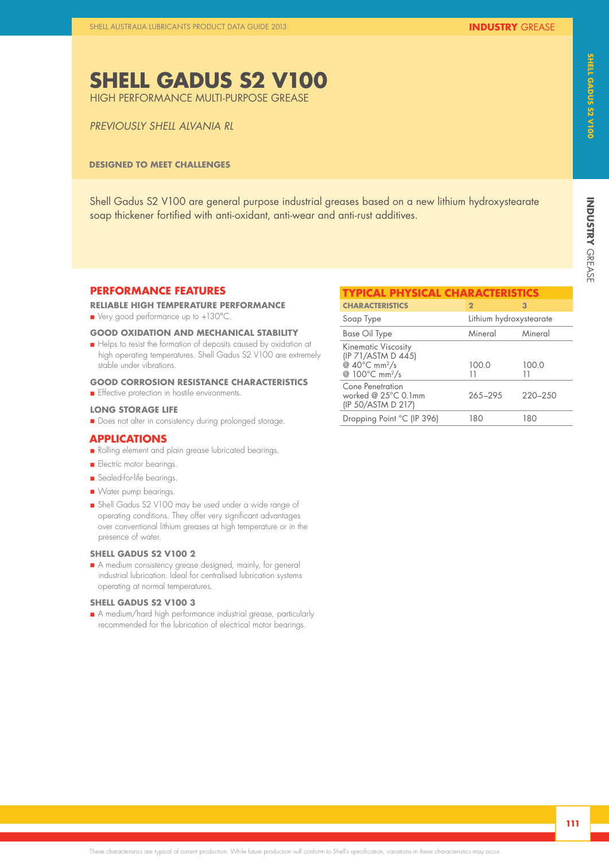# INDUSTRY GREASE **INDUSTRY**

### **SHELL GADUS S2 V100**

HIGH PERFORMANCE MULTI-PURPOSE GREASE

#### *PREVIOUSLY SHELL ALVANIA RL*

#### **DESIGNED TO MEET CHALLENGES**

Shell Gadus S2 V100 are general purpose industrial greases based on a new lithium hydroxystearate soap thickener fortified with anti-oxidant, anti-wear and anti-rust additives.

#### **PERFORMANCE FEATURES**

**RELIABLE HIGH TEMPERATURE PERFORMANCE**

■ Very good performance up to +130°C.

#### **GOOD OXIDATION AND MECHANICAL STABILITY**

n Helps to resist the formation of deposits caused by oxidation at high operating temperatures. Shell Gadus S2 V100 are extremely stable under vibrations.

#### **GOOD CORROSION RESISTANCE CHARACTERISTICS**

**n** Effective protection in hostile environments.

#### **LONG STORAGE LIFE**

**n** Does not alter in consistency during prolonged storage.

#### **APPLICATIONS**

- Rolling element and plain grease lubricated bearings.
- **n** Electric motor bearings.
- Sealed-for-life bearings.
- **N** Water pump bearings.
- n Shell Gadus S2 V100 may be used under a wide range of operating conditions. They offer very significant advantages over conventional lithium greases at high temperature or in the presence of water.

#### **SHELL GADUS S2 V100 2**

n A medium consistency grease designed, mainly, for general industrial lubrication. Ideal for centralised lubrication systems operating at normal temperatures.

#### **SHELL GADUS S2 V100 3**

n A medium/hard high performance industrial grease, particularly recommended for the lubrication of electrical motor bearings.

| <b>TYPICAL PHYSICAL CHARACTERISTICS</b>                                                                                         |                         |             |  |  |
|---------------------------------------------------------------------------------------------------------------------------------|-------------------------|-------------|--|--|
| <b>CHARACTERISTICS</b>                                                                                                          | $\mathbf{2}$            | 3           |  |  |
| Soap Type                                                                                                                       | Lithium hydroxystearate |             |  |  |
| Base Oil Type                                                                                                                   | Mineral                 | Mineral     |  |  |
| <b>Kinematic Viscosity</b><br>(IP 71/ASTM D 445)<br>@ $40^{\circ}$ C mm <sup>2</sup> /s<br>@ $100^{\circ}$ C mm <sup>2</sup> /s | 1000<br>11              | 100.0<br>11 |  |  |
| Cone Penetration<br>worked @ $25^{\circ}$ C 0.1mm<br>(IP 50/ASTM D 217)                                                         | 265-295                 | $220 - 250$ |  |  |
| Dropping Point °C (IP 396)                                                                                                      | 180                     | 180         |  |  |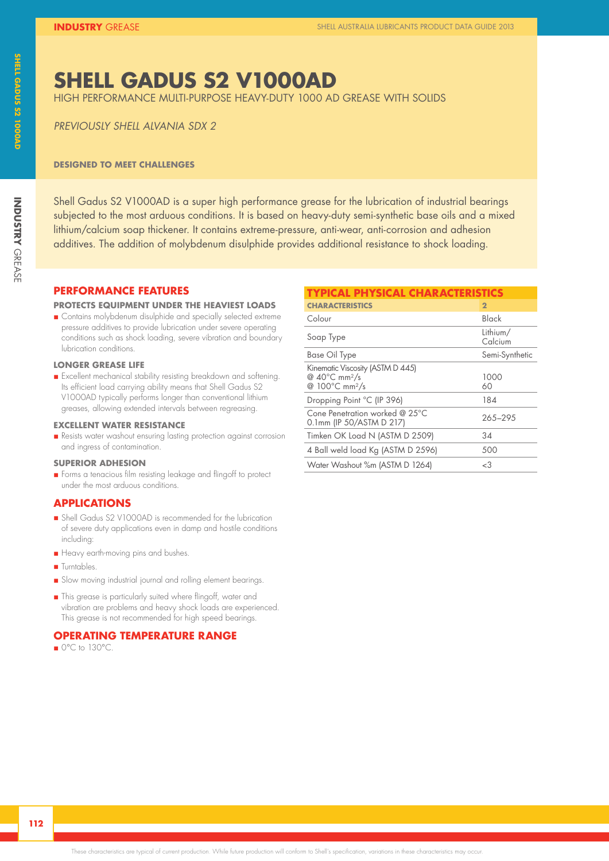### **SHELL GADUS S2 V1000AD**

HIGH PERFORMANCE MULTI-PURPOSE HEAVY-DUTY 1000 AD GREASE WITH SOLIDS

*PREVIOUSLY SHELL ALVANIA SDX 2*

#### **DESIGNED TO MEET CHALLENGES**

Shell Gadus S2 V1000AD is a super high performance grease for the lubrication of industrial bearings subjected to the most arduous conditions. It is based on heavy-duty semi-synthetic base oils and a mixed lithium/calcium soap thickener. It contains extreme-pressure, anti-wear, anti-corrosion and adhesion additives. The addition of molybdenum disulphide provides additional resistance to shock loading.

**PERFORMANCE FEATURES**

#### **PROTECTS EQUIPMENT UNDER THE HEAVIEST LOADS**

**n** Contains molybdenum disulphide and specially selected extreme pressure additives to provide lubrication under severe operating conditions such as shock loading, severe vibration and boundary lubrication conditions.

#### **LONGER GREASE LIFE**

n Excellent mechanical stability resisting breakdown and softening. Its efficient load carrying ability means that Shell Gadus S2 V1000AD typically performs longer than conventional lithium greases, allowing extended intervals between regreasing.

#### **EXCELLENT WATER RESISTANCE**

n Resists water washout ensuring lasting protection against corrosion and ingress of contamination.

#### **SUPERIOR ADHESION**

n Forms a tenacious film resisting leakage and flingoff to protect under the most arduous conditions.

#### **APPLICATIONS**

- n Shell Gadus S2 V1000AD is recommended for the lubrication of severe duty applications even in damp and hostile conditions including:
- **n** Heavy earth-moving pins and bushes.
- **n** Turntables.
- Slow moving industrial journal and rolling element bearings.
- n This grease is particularly suited where flingoff, water and vibration are problems and heavy shock loads are experienced. This grease is not recommended for high speed bearings.

#### **OPERATING TEMPERATURE RANGE**

 $\Box$  0°C to 130°C.

### **TYPICAL PHYSICAL CHARACTERISTICS**

| <b>CHARACTERISTICS</b>                                                                                          | $\overline{2}$      |
|-----------------------------------------------------------------------------------------------------------------|---------------------|
| Colour                                                                                                          | Black               |
| Soap Type                                                                                                       | Lithium/<br>Calcium |
| Base Oil Type                                                                                                   | Semi-Synthetic      |
| Kinematic Viscosity (ASTM D 445)<br>@ $40^{\circ}$ C mm <sup>2</sup> /s<br>@ 100 $\degree$ C mm <sup>2</sup> /s | 1000<br>60          |
| Dropping Point °C (IP 396)                                                                                      | 184                 |
| Cone Penetration worked @ 25°C<br>0.1mm (IP 50/ASTM D 217)                                                      | 265-295             |
| Timken OK Load N (ASTM D 2509)                                                                                  | 34                  |
| 4 Ball weld load Kg (ASTM D 2596)                                                                               | 500                 |
| Water Washout %m (ASTM D 1264)                                                                                  | <3                  |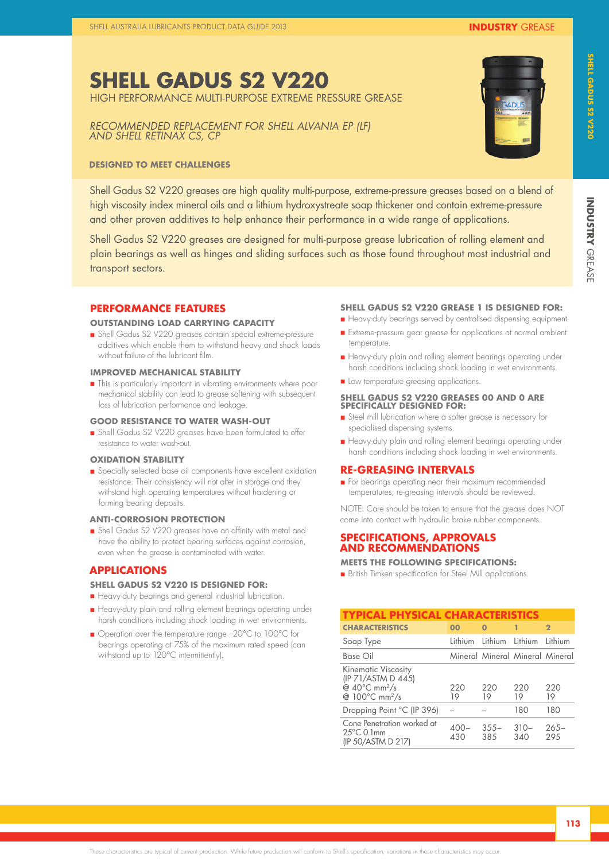### **SHELL GADUS S2 V220**

HIGH PERFORMANCE MULTI-PURPOSE EXTREME PRESSURE GREASE

*RECOMMENDED REPLACEMENT FOR SHELL ALVANIA EP (LF) AND SHELL RETINAX CS, CP*

#### **DESIGNED TO MEET CHALLENGES**

Shell Gadus S2 V220 greases are high quality multi-purpose, extreme-pressure greases based on a blend of high viscosity index mineral oils and a lithium hydroxystreate soap thickener and contain extreme-pressure and other proven additives to help enhance their performance in a wide range of applications.

Shell Gadus S2 V220 greases are designed for multi-purpose grease lubrication of rolling element and plain bearings as well as hinges and sliding surfaces such as those found throughout most industrial and transport sectors.

#### **PERFORMANCE FEATURES**

#### **OUTSTANDING LOAD CARRYING CAPACITY**

n Shell Gadus S2 V220 greases contain special extreme-pressure additives which enable them to withstand heavy and shock loads without failure of the lubricant film.

#### **IMPROVED MECHANICAL STABILITY**

**n** This is particularly important in vibrating environments where poor mechanical stability can lead to grease softening with subsequent loss of lubrication performance and leakage.

#### **GOOD RESISTANCE TO WATER WASH-OUT**

n Shell Gadus S2 V220 greases have been formulated to offer resistance to water wash-out.

#### **OXIDATION STABILITY**

n Specially selected base oil components have excellent oxidation resistance. Their consistency will not alter in storage and they withstand high operating temperatures without hardening or forming bearing deposits.

#### **ANTI-CORROSION PROTECTION**

n Shell Gadus S2 V220 greases have an affinity with metal and have the ability to protect bearing surfaces against corrosion, even when the grease is contaminated with water.

#### **APPLICATIONS**

#### **SHELL GADUS S2 V220 IS DESIGNED FOR:**

- n Heavy-duty bearings and general industrial lubrication.
- **n** Heavy-duty plain and rolling element bearings operating under harsh conditions including shock loading in wet environments.
- Operation over the temperature range -20°C to 100°C for bearings operating at 75% of the maximum rated speed (can withstand up to 120°C intermittently).

#### **SHELL GADUS S2 V220 GREASE 1 IS DESIGNED FOR:**

- n Heavy-duty bearings served by centralised dispensing equipment.
- n Extreme-pressure gear grease for applications at normal ambient temperature.
- n Heavy-duty plain and rolling element bearings operating under harsh conditions including shock loading in wet environments.
- **n** Low temperature greasing applications.

#### **SHELL GADUS S2 V220 GREASES 00 AND 0 ARE SPECIFICALLY DESIGNED FOR:**

- n Steel mill lubrication where a softer grease is necessary for specialised dispensing systems.
- Heavy-duty plain and rolling element bearings operating under harsh conditions including shock loading in wet environments.

#### **RE-GREASING INTERVALS**

**n** For bearings operating near their maximum recommended temperatures, re-greasing intervals should be reviewed.

NOTE: Care should be taken to ensure that the grease does NOT come into contact with hydraulic brake rubber components.

#### **SPECIFICATIONS, APPROVALS AND RECOMMENDATIONS**

#### **MEETS THE FOLLOWING SPECIFICATIONS:**

n British Timken specification for Steel Mill applications.

| <b>TYPICAL PHYSICAL CHARACTERISTICS</b>                                                                                         |                |                 |                                 |                |
|---------------------------------------------------------------------------------------------------------------------------------|----------------|-----------------|---------------------------------|----------------|
| <b>CHARACTERISTICS</b>                                                                                                          | 00             | O               | 1                               | $\mathbf{2}$   |
| Soap Type                                                                                                                       | <b>lithium</b> | Lithium Lithium |                                 | lithium        |
| Base Oil                                                                                                                        |                |                 | Mineral Mineral Mineral Mineral |                |
| <b>Kinematic Viscosity</b><br>(IP 71/ASTM D 445)<br>@ $40^{\circ}$ C mm <sup>2</sup> /s<br>@ 100 $\degree$ C mm <sup>2</sup> /s | 220<br>19      | 220<br>19       | 220<br>19                       | 220<br>19      |
| Dropping Point °C (IP 396)                                                                                                      |                |                 | 180                             | 180            |
| Cone Penetration worked at<br>$25^{\circ}$ C 0.1mm<br>(IP 50/ASTM D 217)                                                        | $400 -$<br>430 | $355 -$<br>38.5 | $310-$<br>340                   | $265-$<br>29.5 |



**INDUSTRY**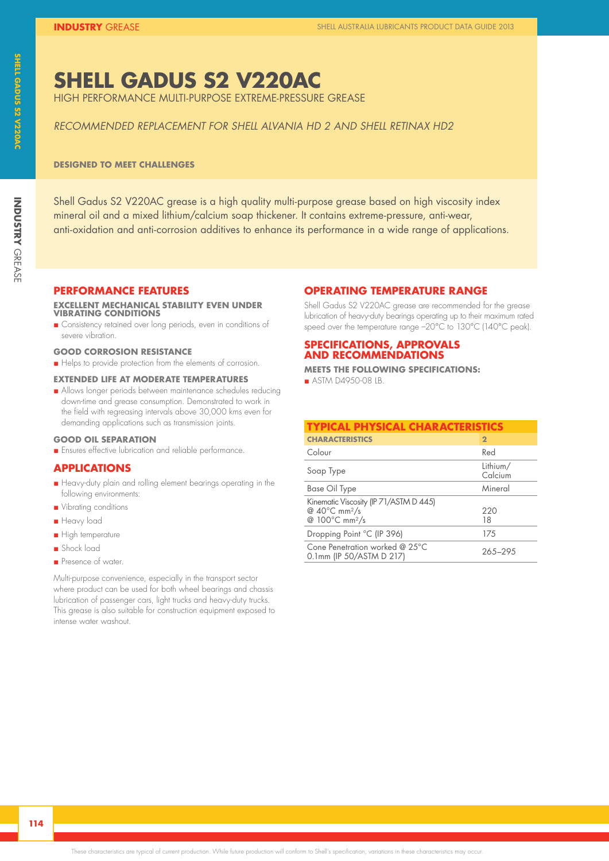## **SHELL GADUS S2 V220AC**

HIGH PERFORMANCE MULTI-PURPOSE EXTREME-PRESSURE GREASE

#### *RECOMMENDED REPLACEMENT FOR SHELL ALVANIA HD 2 AND SHELL RETINAX HD2*

#### **DESIGNED TO MEET CHALLENGES**

Shell Gadus S2 V220AC grease is a high quality multi-purpose grease based on high viscosity index mineral oil and a mixed lithium/calcium soap thickener. It contains extreme-pressure, anti-wear, anti-oxidation and anti-corrosion additives to enhance its performance in a wide range of applications.

#### **PERFORMANCE FEATURES**

#### **EXCELLENT MECHANICAL STABILITY EVEN UNDER VIBRATING CONDITIONS**

**n** Consistency retained over long periods, even in conditions of severe vibration.

#### **GOOD CORROSION RESISTANCE**

Helps to provide protection from the elements of corrosion.

#### **EXTENDED LIFE AT MODERATE TEMPERATURES**

n Allows longer periods between maintenance schedules reducing down-time and grease consumption. Demonstrated to work in the field with regreasing intervals above 30,000 kms even for demanding applications such as transmission joints.

#### **GOOD OIL SEPARATION**

**n** Ensures effective lubrication and reliable performance.

#### **APPLICATIONS**

- n Heavy-duty plain and rolling element bearings operating in the following environments:
- **n** Vibrating conditions
- **n** Heavy load
- **n** High temperature
- n Shock load
- **n** Presence of water.

Multi-purpose convenience, especially in the transport sector where product can be used for both wheel bearings and chassis lubrication of passenger cars, light trucks and heavy-duty trucks. This grease is also suitable for construction equipment exposed to intense water washout.

#### **OPERATING TEMPERATURE RANGE**

Shell Gadus S2 V220AC grease are recommended for the grease lubrication of heavy-duty bearings operating up to their maximum rated speed over the temperature range –20°C to 130°C (140°C peak).

#### **SPECIFICATIONS, APPROVALS AND RECOMMENDATIONS**

**MEETS THE FOLLOWING SPECIFICATIONS:**

 $\blacksquare$  ASTM D4950-08 LB.

| <b>TYPICAL PHYSICAL CHARACTERISTICS</b>                                                                     |                     |  |  |  |  |  |
|-------------------------------------------------------------------------------------------------------------|---------------------|--|--|--|--|--|
| <b>CHARACTERISTICS</b>                                                                                      | $\overline{2}$      |  |  |  |  |  |
| Colour                                                                                                      | Red                 |  |  |  |  |  |
| Soap Type                                                                                                   | Lithium/<br>Calcium |  |  |  |  |  |
| Base Oil Type                                                                                               | Mineral             |  |  |  |  |  |
| Kinematic Viscosity (IP 71/ASTM D 445)<br>@ $40^{\circ}$ C mm <sup>2</sup> /s<br>@ 100°C mm <sup>2</sup> /s | 220<br>18           |  |  |  |  |  |
| Dropping Point °C (IP 396)                                                                                  | 17.5                |  |  |  |  |  |
| Cone Penetration worked @ 25°C<br>0.1mm (IP 50/ASTM D 217)                                                  | 265-295             |  |  |  |  |  |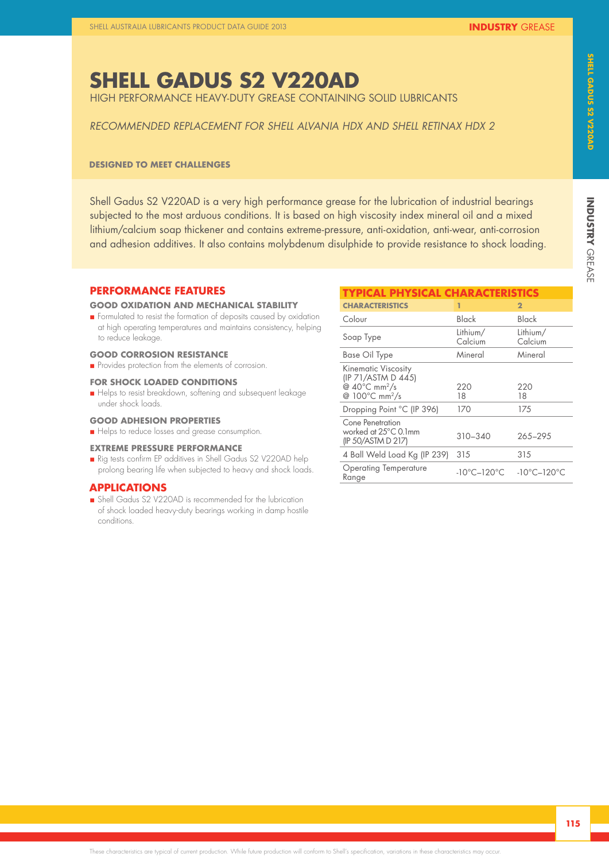### **SHELL GADUS S2 V220AD**

HIGH PERFORMANCE HEAVY-DUTY GREASE CONTAINING SOLID LUBRICANTS

#### *RECOMMENDED REPLACEMENT FOR SHELL ALVANIA HDX AND SHELL RETINAX HDX 2*

#### **DESIGNED TO MEET CHALLENGES**

Shell Gadus S2 V220AD is a very high performance grease for the lubrication of industrial bearings subjected to the most arduous conditions. It is based on high viscosity index mineral oil and a mixed lithium/calcium soap thickener and contains extreme-pressure, anti-oxidation, anti-wear, anti-corrosion and adhesion additives. It also contains molybdenum disulphide to provide resistance to shock loading.

#### **PERFORMANCE FEATURES**

#### **GOOD OXIDATION AND MECHANICAL STABILITY**

n Formulated to resist the formation of deposits caused by oxidation at high operating temperatures and maintains consistency, helping to reduce leakage.

#### **GOOD CORROSION RESISTANCE**

**n** Provides protection from the elements of corrosion.

#### **FOR SHOCK LOADED CONDITIONS**

Helps to resist breakdown, softening and subsequent leakage under shock loads.

#### **GOOD ADHESION PROPERTIES**

Helps to reduce losses and grease consumption.

#### **EXTREME PRESSURE PERFORMANCE**

n Rig tests confirm EP additives in Shell Gadus S2 V220AD help prolong bearing life when subjected to heavy and shock loads.

#### **APPLICATIONS**

n Shell Gadus S2 V220AD is recommended for the lubrication of shock loaded heavy-duty bearings working in damp hostile conditions.

| <b>TYPICAL PHYSICAL CHARACTERISTICS</b>                                                                               |                                  |                                  |
|-----------------------------------------------------------------------------------------------------------------------|----------------------------------|----------------------------------|
| <b>CHARACTERISTICS</b>                                                                                                | 1                                | $\overline{2}$                   |
| Colour                                                                                                                | Black                            | Black                            |
| Soap Type                                                                                                             | Lithium/<br>Calcium              | Lithium/<br>Calcium              |
| Base Oil Type                                                                                                         | Mineral                          | Mineral                          |
| <b>Kinematic Viscosity</b><br>(IP 71/ASTM D 445)<br>@ $40^{\circ}$ C mm <sup>2</sup> /s<br>@ 100°C mm <sup>2</sup> /s | 220<br>18                        | 220<br>18                        |
| Dropping Point °C (IP 396)                                                                                            | 170                              | 175                              |
| Cone Penetration<br>worked at 25°C 0.1mm<br>(IP 50/ASTM D 217)                                                        | $310 - 340$                      | 265-295                          |
| 4 Ball Weld Load Kg (IP 239)                                                                                          | 315                              | 315                              |
| <b>Operating Temperature</b><br>Range                                                                                 | $-10^{\circ}$ C $-120^{\circ}$ C | $-10^{\circ}$ C $-120^{\circ}$ C |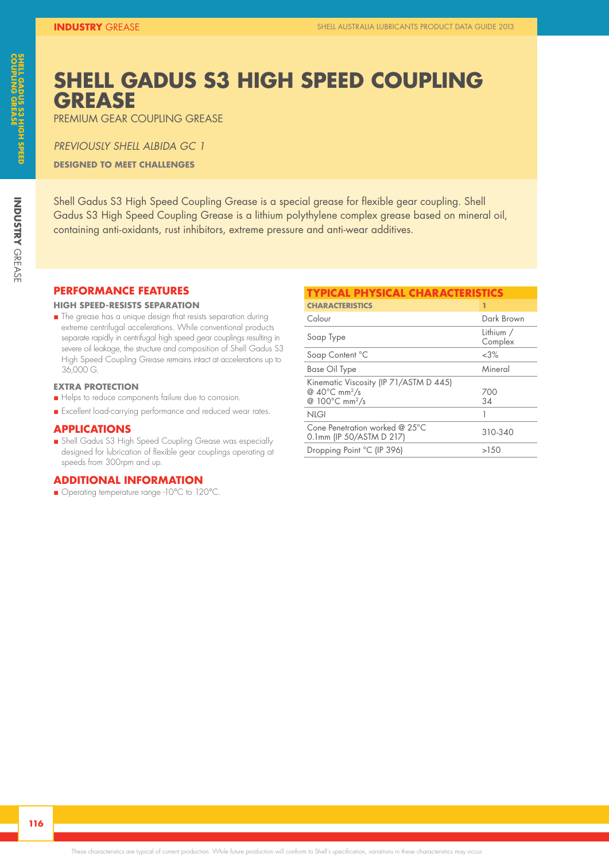### **SHELL GADUS S3 HIGH SPEED COUPLING GREASE**

PREMIUM GEAR COUPLING GREASE

*PREVIOUSLY SHELL ALBIDA GC 1* **DESIGNED TO MEET CHALLENGES**

Shell Gadus S3 High Speed Coupling Grease is a special grease for flexible gear coupling. Shell Gadus S3 High Speed Coupling Grease is a lithium polythylene complex grease based on mineral oil, containing anti-oxidants, rust inhibitors, extreme pressure and anti-wear additives.

#### **PERFORMANCE FEATURES**

#### **HIGH SPEED-RESISTS SEPARATION**

n The grease has a unique design that resists separation during extreme centrifugal accelerations. While conventional products separate rapidly in centrifugal high speed gear couplings resulting in severe oil leakage, the structure and composition of Shell Gadus S3 High Speed Coupling Grease remains intact at accelerations up to 36,000 G.

#### **EXTRA PROTECTION**

- Helps to reduce components failure due to corrosion.
- n Excellent load-carrying performance and reduced wear rates.

#### **APPLICATIONS**

n Shell Gadus S3 High Speed Coupling Grease was especially designed for lubrication of flexible gear couplings operating at speeds from 300rpm and up.

#### **ADDITIONAL INFORMATION**

■ Operating temperature range -10°C to 120°C.

| <b>TYPICAL PHYSICAL CHARACTERISTICS</b>                                                                     |                      |  |  |  |  |  |
|-------------------------------------------------------------------------------------------------------------|----------------------|--|--|--|--|--|
| <b>CHARACTERISTICS</b>                                                                                      | 1                    |  |  |  |  |  |
| Colour                                                                                                      | Dark Brown           |  |  |  |  |  |
| Soap Type                                                                                                   | Lithium /<br>Complex |  |  |  |  |  |
| Soap Content °C                                                                                             | &3%                  |  |  |  |  |  |
| <b>Base Oil Type</b>                                                                                        | Mineral              |  |  |  |  |  |
| Kinematic Viscosity (IP 71/ASTM D 445)<br>@ $40^{\circ}$ C mm <sup>2</sup> /s<br>@ 100°C mm <sup>2</sup> /s | 700<br>34            |  |  |  |  |  |
| <b>NLGI</b>                                                                                                 |                      |  |  |  |  |  |
| Cone Penetration worked @ 25°C<br>0.1mm (IP 50/ASTM D 217)                                                  | 310-340              |  |  |  |  |  |
| Dropping Point °C (IP 396)                                                                                  | >150                 |  |  |  |  |  |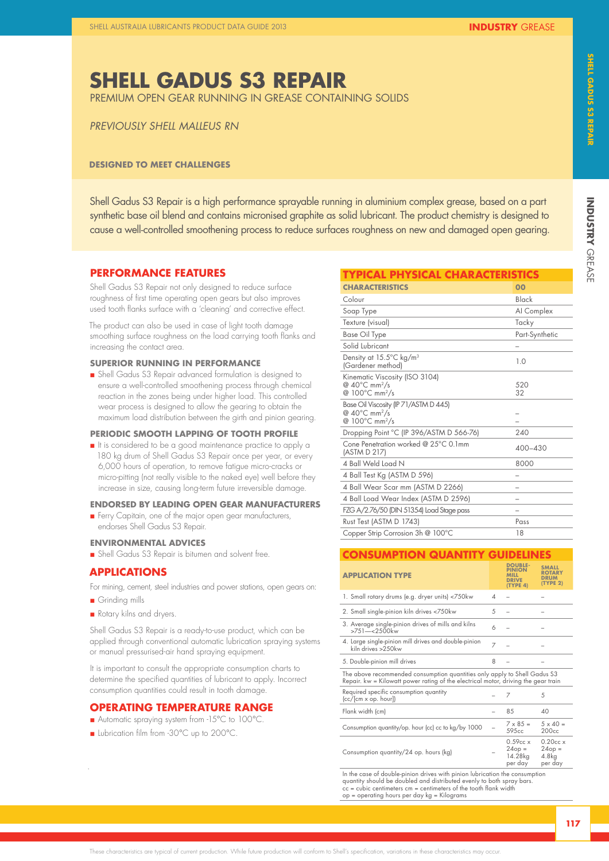**INDUSTRY** 

**INDUSTRY GREASE** 

### **SHELL GADUS S3 REPAIR**

PREMIUM OPEN GEAR RUNNING IN GREASE CONTAINING SOLIDS

#### *PREVIOUSLY SHELL MALLEUS RN*

#### **DESIGNED TO MEET CHALLENGES**

Shell Gadus S3 Repair is a high performance sprayable running in aluminium complex grease, based on a part synthetic base oil blend and contains micronised graphite as solid lubricant. The product chemistry is designed to cause a well-controlled smoothening process to reduce surfaces roughness on new and damaged open gearing.

#### **PERFORMANCE FEATURES**

Shell Gadus S3 Repair not only designed to reduce surface roughness of first time operating open gears but also improves used tooth flanks surface with a 'cleaning' and corrective effect.

The product can also be used in case of light tooth damage smoothing surface roughness on the load carrying tooth flanks and increasing the contact area.

#### **SUPERIOR RUNNING IN PERFORMANCE**

n Shell Gadus S3 Repair advanced formulation is designed to ensure a well-controlled smoothening process through chemical reaction in the zones being under higher load. This controlled wear process is designed to allow the gearing to obtain the maximum load distribution between the girth and pinion gearing.

#### **PERIODIC SMOOTH LAPPING OF TOOTH PROFILE**

n It is considered to be a good maintenance practice to apply a 180 kg drum of Shell Gadus S3 Repair once per year, or every 6,000 hours of operation, to remove fatigue micro-cracks or micro-pitting (not really visible to the naked eye) well before they increase in size, causing long-term future irreversible damage.

#### **ENDORSED BY LEADING OPEN GEAR MANUFACTURERS**

n Ferry Capitain, one of the major open gear manufacturers, endorses Shell Gadus S3 Repair.

#### **ENVIRONMENTAL ADVICES**

n Shell Gadus S3 Repair is bitumen and solvent free.

#### **APPLICATIONS**

For mining, cement, steel industries and power stations, open gears on:

**n** Grinding mills

.

Rotary kilns and dryers.

Shell Gadus S3 Repair is a ready-to-use product, which can be applied through conventional automatic lubrication spraying systems or manual pressurised-air hand spraying equipment.

It is important to consult the appropriate consumption charts to determine the specified quantities of lubricant to apply. Incorrect consumption quantities could result in tooth damage.

#### **OPERATING TEMPERATURE RANGE**

- Automatic spraying system from -15°C to 100°C.
- **n** Lubrication film from -30°C up to 200°C.

| TYPICAL PHYSICAL CHARACTERISTICS                                                                           |                |
|------------------------------------------------------------------------------------------------------------|----------------|
| <b>CHARACTERISTICS</b>                                                                                     | 00             |
| Colour                                                                                                     | Black          |
| Soap Type                                                                                                  | Al Complex     |
| Texture (visual)                                                                                           | Tacky          |
| <b>Base Oil Type</b>                                                                                       | Part-Synthetic |
| Solid Lubricant                                                                                            |                |
| Density at 15.5°C kg/m <sup>3</sup><br>(Gardener method)                                                   | 1.0            |
| Kinematic Viscosity (ISO 3104)<br>@ $40^{\circ}$ C mm <sup>2</sup> /s<br>@ 100°C mm <sup>2</sup> /s        | 520<br>32      |
| Base Oil Viscosity (IP 71/ASTM D 445)<br>@ 40°C mm <sup>2</sup> /s<br>@ $100^{\circ}$ C mm <sup>2</sup> /s |                |
| Dropping Point °C (IP 396/ASTM D 566-76)                                                                   | 240            |
| Cone Penetration worked @ 25°C 0.1mm<br>(ASTM D 217)                                                       | 400-430        |
| 4 Ball Weld Load N                                                                                         | 8000           |
| 4 Ball Test Kg (ASTM D 596)                                                                                |                |
| 4 Ball Wear Scar mm (ASTM D 2266)                                                                          |                |
| 4 Ball Load Wear Index (ASTM D 2596)                                                                       |                |
| FZG A/2.76/50 (DIN 51354) Load Stage pass                                                                  |                |
| Rust Test (ASTM D 1743)                                                                                    | Pass           |
| Copper Strip Corrosion 3h @ 100°C                                                                          | 18             |

#### **CONSUMPTION QUANTITY GUIDELINES**

| <b>APPLICATION TYPE</b>                                                                                                                                         |   | <b>DOUBLE-</b><br>PINION<br>MILL<br><b>DRIVE</b><br>(TYPE 4) | <b>SMALL</b><br><b>ROTARY</b><br><b>DRUM</b><br>(TYPE 2) |
|-----------------------------------------------------------------------------------------------------------------------------------------------------------------|---|--------------------------------------------------------------|----------------------------------------------------------|
| 1. Small rotary drums (e.g. dryer units) <750kw                                                                                                                 | Δ |                                                              |                                                          |
| 2. Small single-pinion kiln drives <750kw                                                                                                                       | 5 |                                                              |                                                          |
| 3. Average single-pinion drives of mills and kilns<br>>751-<2500kw                                                                                              | 6 |                                                              |                                                          |
| 4. Large single-pinion mill drives and double-pinion<br>kiln drives >250kw                                                                                      | 7 |                                                              |                                                          |
| 5. Double-pinion mill drives                                                                                                                                    | 8 |                                                              |                                                          |
| The above recommended consumption quantities only apply to Shell Gadus S3<br>Repair. kw = Kilowatt power rating of the electrical motor, driving the gear train |   |                                                              |                                                          |
| Required specific consumption quantity<br>5<br>7<br>(cc/[cm x op. hour])                                                                                        |   |                                                              |                                                          |
| Flank width (cm)                                                                                                                                                |   | 85                                                           | 40                                                       |
| Consumption quantity/op. hour (cc) cc to kg/by 1000                                                                                                             |   | $7 \times 85 =$<br>595cc                                     | $5 \times 40 =$<br>200cc                                 |
| Consumption quantity/24 op. hours (kg)                                                                                                                          |   | $0.59cc \times$<br>$24op =$<br>14.28kg<br>per day            | $0.20cc \times$<br>$24op =$<br>4.8kg<br>per dav          |

In the case of double-pinion drives with pinion lubrication the consumption<br>quantity should be doubled and distributed evenly to both spray bars.<br>cc = cubic centimeters cm = centimeters of the tooth flank width<br> $\infty$  = op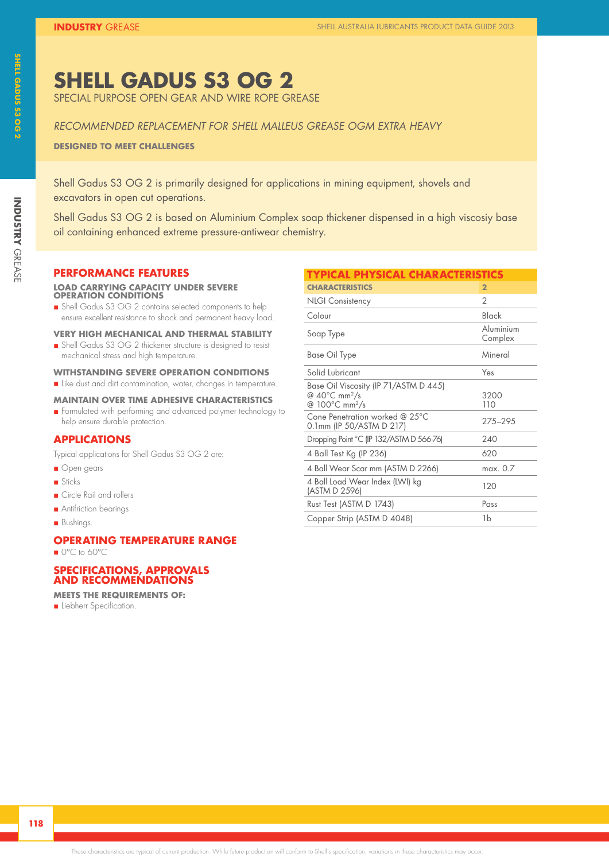### **SHELL GADUS S3 OG 2**

SPECIAL PURPOSE OPEN GEAR AND WIRE ROPE GREASE

#### *RECOMMENDED REPLACEMENT FOR SHELL MALLEUS GREASE OGM EXTRA HEAVY*

**DESIGNED TO MEET CHALLENGES**

Shell Gadus S3 OG 2 is primarily designed for applications in mining equipment, shovels and excavators in open cut operations.

Shell Gadus S3 OG 2 is based on Aluminium Complex soap thickener dispensed in a high viscosiy base oil containing enhanced extreme pressure-antiwear chemistry.

#### **PERFORMANCE FEATURES**

#### **LOAD CARRYING CAPACITY UNDER SEVERE OPERATION CONDITIONS**

n Shell Gadus S3 OG 2 contains selected components to help ensure excellent resistance to shock and permanent heavy load.

#### **VERY HIGH MECHANICAL AND THERMAL STABILITY**

n Shell Gadus S3 OG 2 thickener structure is designed to resist mechanical stress and high temperature.

#### **WITHSTANDING SEVERE OPERATION CONDITIONS**

n Like dust and dirt contamination, water, changes in temperature.

#### **MAINTAIN OVER TIME ADHESIVE CHARACTERISTICS**

n Formulated with performing and advanced polymer technology to help ensure durable protection.

#### **APPLICATIONS**

Typical applications for Shell Gadus S3 OG 2 are:

- **n** Open gears
- **n** Sticks
- **n** Circle Rail and rollers
- **n** Antifriction bearings
- Bushings.

#### **OPERATING TEMPERATURE RANGE**  ■ 0°C to 60°C

#### **SPECIFICATIONS, APPROVALS AND RECOMMENDATIONS**

**MEETS THE REQUIREMENTS OF:**

**n** Liebherr Specification.

| <b>TYPICAL PHYSICAL CHARACTERISTICS</b>                                                                              |                      |
|----------------------------------------------------------------------------------------------------------------------|----------------------|
| <b>CHARACTERISTICS</b>                                                                                               | $\overline{2}$       |
| <b>NLGI Consistency</b>                                                                                              | $\mathcal{P}$        |
| Colour                                                                                                               | Black                |
| Soap Type                                                                                                            | Aluminium<br>Complex |
| Base Oil Type                                                                                                        | Mineral              |
| Solid Lubricant                                                                                                      | Yes                  |
| Base Oil Viscosity (IP 71/ASTM D 445)<br>@ $40^{\circ}$ C mm <sup>2</sup> /s<br>@ 100 $\degree$ C mm <sup>2</sup> /s | 3200<br>110          |
| Cone Penetration worked @ 25°C<br>0.1mm (IP 50/ASTM D 217)                                                           | 275-295              |
| Dropping Point °C (IP 132/ASTM D 566-76)                                                                             | 240                  |
| 4 Ball Test Kg (IP 236)                                                                                              | 620                  |
| 4 Ball Wear Scar mm (ASTM D 2266)                                                                                    | max. 0.7             |
| 4 Ball Load Wear Index (LWI) kg<br>(ASTM D 2596)                                                                     | 120                  |
| Rust Test (ASTM D 1743)                                                                                              | Pass                 |
| Copper Strip (ASTM D 4048)                                                                                           | 1b                   |

**INDUSTRY**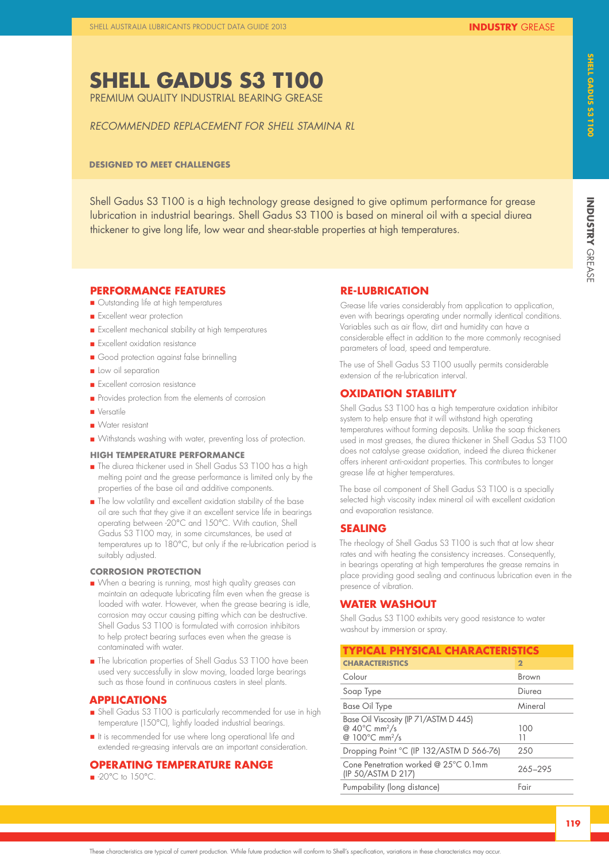**SHELL GADUS S3 T100**  PREMIUM QUALITY INDUSTRIAL BEARING GREASE

*RECOMMENDED REPLACEMENT FOR SHELL STAMINA RL*

**INDUSTRY** 

**INDUSTRY GREASE** 

Shell Gadus S3 T100 is a high technology grease designed to give optimum performance for grease lubrication in industrial bearings. Shell Gadus S3 T100 is based on mineral oil with a special diurea thickener to give long life, low wear and shear-stable properties at high temperatures.

### **PERFORMANCE FEATURES**

**DESIGNED TO MEET CHALLENGES**

- **n** Outstanding life at high temperatures
- **n** Excellent wear protection
- n Excellent mechanical stability at high temperatures
- **n** Excellent oxidation resistance
- Good protection against false brinnelling
- **n** Low oil separation
- **n** Excellent corrosion resistance
- n Provides protection from the elements of corrosion
- n Versatile
- n Water resistant
- n Withstands washing with water, preventing loss of protection.

#### **HIGH TEMPERATURE PERFORMANCE**

- The diurea thickener used in Shell Gadus S3 T100 has a high melting point and the grease performance is limited only by the properties of the base oil and additive components.
- n The low volatility and excellent oxidation stability of the base oil are such that they give it an excellent service life in bearings operating between -20°C and 150°C. With caution, Shell Gadus S3 T100 may, in some circumstances, be used at temperatures up to 180°C, but only if the re-lubrication period is suitably adjusted.

#### **CORROSION PROTECTION**

- n When a bearing is running, most high quality greases can maintain an adequate lubricating film even when the grease is loaded with water. However, when the grease bearing is idle, corrosion may occur causing pitting which can be destructive. Shell Gadus S3 T100 is formulated with corrosion inhibitors to help protect bearing surfaces even when the grease is contaminated with water.
- The lubrication properties of Shell Gadus S3 T100 have been used very successfully in slow moving, loaded large bearings such as those found in continuous casters in steel plants.

#### **APPLICATIONS**

- n Shell Gadus S3 T100 is particularly recommended for use in high temperature (150°C), lightly loaded industrial bearings.
- n It is recommended for use where long operational life and extended re-greasing intervals are an important consideration.

### **OPERATING TEMPERATURE RANGE**

 $\blacksquare$  -20 $^{\circ}$ C to 150 $^{\circ}$ C.

#### **RE-LUBRICATION**

Grease life varies considerably from application to application, even with bearings operating under normally identical conditions. Variables such as air flow, dirt and humidity can have a considerable effect in addition to the more commonly recognised parameters of load, speed and temperature.

The use of Shell Gadus S3 T100 usually permits considerable extension of the re-lubrication interval.

#### **OXIDATION STABILITY**

Shell Gadus S3 T100 has a high temperature oxidation inhibitor system to help ensure that it will withstand high operating temperatures without forming deposits. Unlike the soap thickeners used in most greases, the diurea thickener in Shell Gadus S3 T100 does not catalyse grease oxidation, indeed the diurea thickener offers inherent anti-oxidant properties. This contributes to longer grease life at higher temperatures.

The base oil component of Shell Gadus S3 T100 is a specially selected high viscosity index mineral oil with excellent oxidation and evaporation resistance.

#### **SEALING**

The rheology of Shell Gadus S3 T100 is such that at low shear rates and with heating the consistency increases. Consequently, in bearings operating at high temperatures the grease remains in place providing good sealing and continuous lubrication even in the presence of vibration.

#### **WATER WASHOUT**

Shell Gadus S3 T100 exhibits very good resistance to water washout by immersion or spray.

| <b>TYPICAL PHYSICAL CHARACTERISTICS</b>                                                                              |              |  |
|----------------------------------------------------------------------------------------------------------------------|--------------|--|
| <b>CHARACTERISTICS</b>                                                                                               | $\mathbf{2}$ |  |
| Colour                                                                                                               | Brown        |  |
| Soap Type                                                                                                            | Diurea       |  |
| <b>Base Oil Type</b>                                                                                                 | Mineral      |  |
| Base Oil Viscosity (IP 71/ASTM D 445)<br>@ $40^{\circ}$ C mm <sup>2</sup> /s<br>@ $100^{\circ}$ C mm <sup>2</sup> /s | 100<br>11    |  |
| Dropping Point °C (IP 132/ASTM D 566-76)                                                                             | 250          |  |
| Cone Penetration worked @ 25°C 0.1mm<br>(IP 50/ASTM D 217)                                                           | 265-295      |  |
| Pumpability (long distance)                                                                                          | Fair         |  |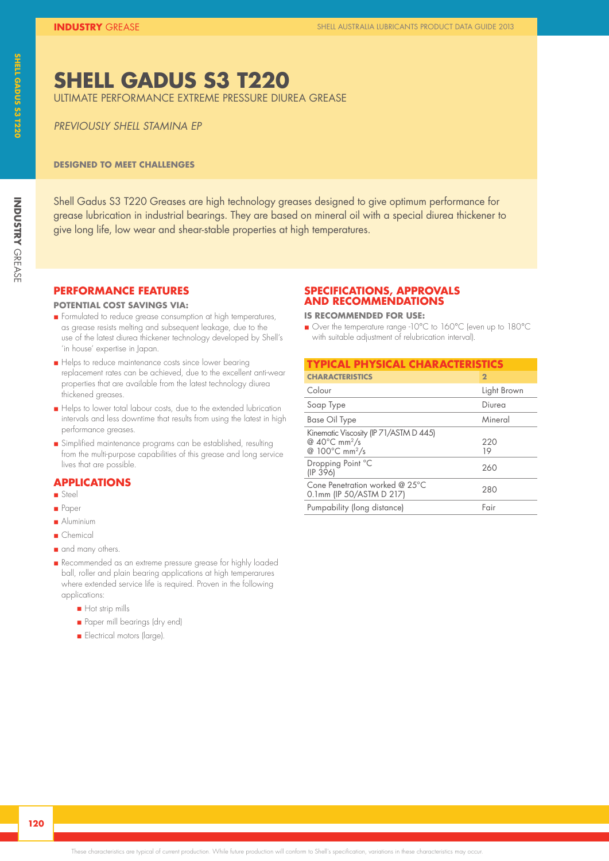# **INDUSTRY GREASE INDUSTRY**

### **SHELL GADUS S3 T220**

ULTIMATE PERFORMANCE EXTREME PRESSURE DIUREA GREASE

*PREVIOUSLY SHELL STAMINA EP*

#### **DESIGNED TO MEET CHALLENGES**

Shell Gadus S3 T220 Greases are high technology greases designed to give optimum performance for grease lubrication in industrial bearings. They are based on mineral oil with a special diurea thickener to give long life, low wear and shear-stable properties at high temperatures.

#### **PERFORMANCE FEATURES**

#### **POTENTIAL COST SAVINGS VIA:**

- n Formulated to reduce grease consumption at high temperatures, as grease resists melting and subsequent leakage, due to the use of the latest diurea thickener technology developed by Shell's 'in house' expertise in Japan.
- Helps to reduce maintenance costs since lower bearing replacement rates can be achieved, due to the excellent anti-wear properties that are available from the latest technology diurea thickened greases.
- Helps to lower total labour costs, due to the extended lubrication intervals and less downtime that results from using the latest in high performance greases.
- n Simplified maintenance programs can be established, resulting from the multi-purpose capabilities of this grease and long service lives that are possible.

#### **APPLICATIONS**

- n Steel
- n Paper
- **Aluminium**
- n Chemical
- and many others.
- Recommended as an extreme pressure grease for highly loaded ball, roller and plain bearing applications at high temperarures where extended service life is required. Proven in the following applications:
	- **n** Hot strip mills
	- n Paper mill bearings (dry end)
	- **n** Electrical motors (large).

#### **SPECIFICATIONS, APPROVALS AND RECOMMENDATIONS**

#### **IS RECOMMENDED FOR USE:**

■ Over the temperature range -10°C to 160°C (even up to 180°C with suitable adjustment of relubrication interval).

| <b>TYPICAL PHYSICAL CHARACTERISTICS</b>                                                                     |                |  |
|-------------------------------------------------------------------------------------------------------------|----------------|--|
| <b>CHARACTERISTICS</b>                                                                                      | $\overline{2}$ |  |
| Colour                                                                                                      | Light Brown    |  |
| Soap Type                                                                                                   | Diurea         |  |
| <b>Base Oil Type</b>                                                                                        | Mineral        |  |
| Kinematic Viscosity (IP 71/ASTM D 445)<br>@ $40^{\circ}$ C mm <sup>2</sup> /s<br>@ 100°C mm <sup>2</sup> /s | 220<br>19      |  |
| Dropping Point °C<br>(IP 396)                                                                               | 260            |  |
| Cone Penetration worked @ 25°C<br>0.1mm (IP 50/ASTM D 217)                                                  | 280            |  |
| Pumpability (long distance)                                                                                 | Fair           |  |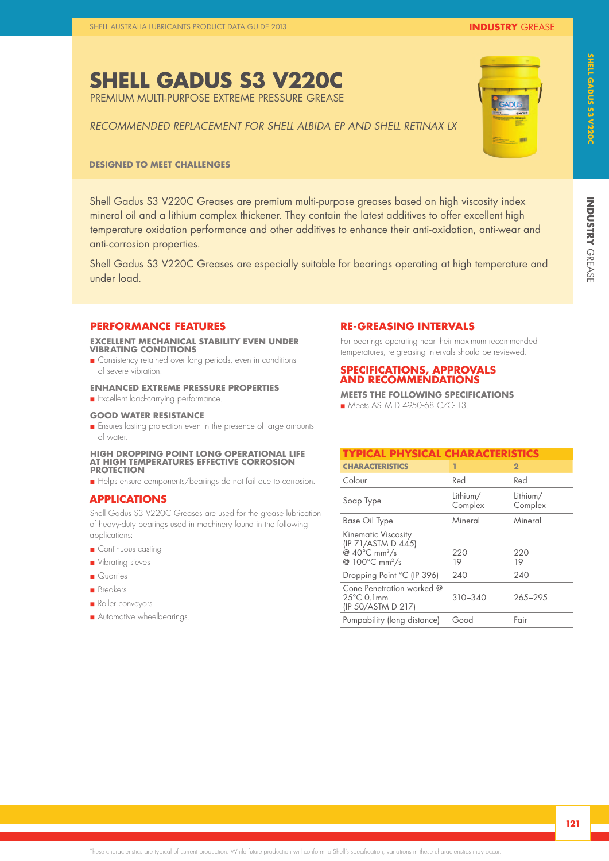**SHELL GADUS S3 V220C**  PREMIUM MULTI-PURPOSE EXTREME PRESSURE GREASE

# **INDUSTRY GREASE INDUSTRY**

*RECOMMENDED REPLACEMENT FOR SHELL ALBIDA EP AND SHELL RETINAX LX*

#### **DESIGNED TO MEET CHALLENGES**

Shell Gadus S3 V220C Greases are premium multi-purpose greases based on high viscosity index mineral oil and a lithium complex thickener. They contain the latest additives to offer excellent high temperature oxidation performance and other additives to enhance their anti-oxidation, anti-wear and anti-corrosion properties.

Shell Gadus S3 V220C Greases are especially suitable for bearings operating at high temperature and under load.

#### **PERFORMANCE FEATURES**

#### **EXCELLENT MECHANICAL STABILITY EVEN UNDER VIBRATING CONDITIONS**

**n** Consistency retained over long periods, even in conditions of severe vibration.

#### **ENHANCED EXTREME PRESSURE PROPERTIES**

**n** Excellent load-carrying performance.

#### **GOOD WATER RESISTANCE**

**n** Ensures lasting protection even in the presence of large amounts of water.

#### **HIGH DROPPING POINT LONG OPERATIONAL LIFE AT HIGH TEMPERATURES EFFECTIVE CORROSION PROTECTION**

n Helps ensure components/bearings do not fail due to corrosion.

#### **APPLICATIONS**

Shell Gadus S3 V220C Greases are used for the grease lubrication of heavy-duty bearings used in machinery found in the following applications:

- **n** Continuous casting
- **n** Vibrating sieves
- **n** Quarries
- n Breakers
- **n** Roller conveyors
- **n** Automotive wheelbearings.

#### **RE-GREASING INTERVALS**

For bearings operating near their maximum recommended temperatures, re-greasing intervals should be reviewed.

#### **SPECIFICATIONS, APPROVALS AND RECOMMENDATIONS**

**MEETS THE FOLLOWING SPECIFICATIONS** n Meets ASTM D 4950-68 CZC-L13.

| <b>TYPICAL PHYSICAL CHARACTERISTICS</b>                                                                                         |                     |                     |
|---------------------------------------------------------------------------------------------------------------------------------|---------------------|---------------------|
| <b>CHARACTERISTICS</b>                                                                                                          | 1                   | $\overline{2}$      |
| Colour                                                                                                                          | Red                 | Red                 |
| Soap Type                                                                                                                       | Lithium/<br>Complex | Lithium/<br>Complex |
| <b>Base Oil Type</b>                                                                                                            | Mineral             | Mineral             |
| <b>Kinematic Viscosity</b><br>(IP 71/ASTM D 445)<br>@ $40^{\circ}$ C mm <sup>2</sup> /s<br>@ $100^{\circ}$ C mm <sup>2</sup> /s | 220<br>19           | 220<br>19           |
| Dropping Point °C (IP 396)                                                                                                      | 240                 | 240                 |
| Cone Penetration worked @<br>$25^{\circ}$ C 0.1mm<br>(IP 50/ASTM D 217)                                                         | $310 - 340$         | 265-295             |
| Pumpability (long distance)                                                                                                     | Good                | Fair                |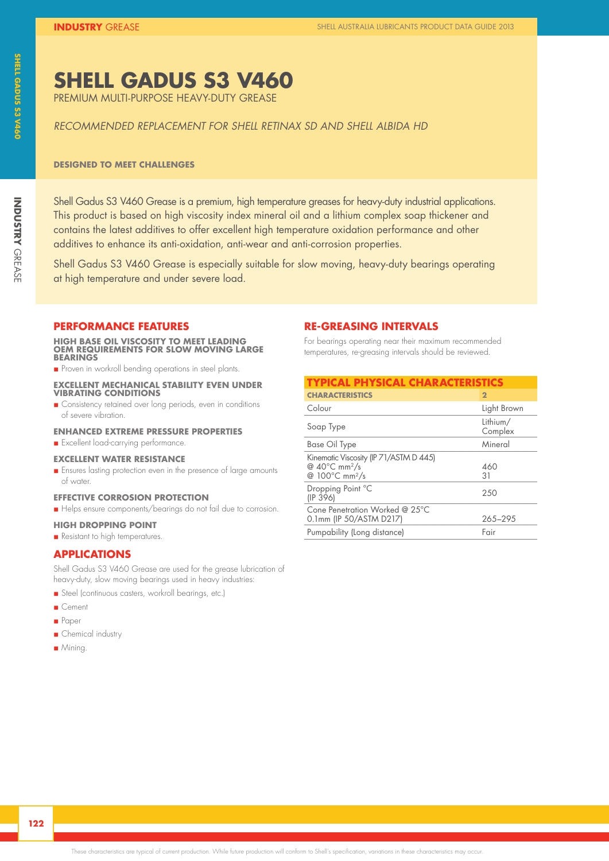### **SHELL GADUS S3 V460**

PREMIUM MULTI-PURPOSE HEAVY-DUTY GREASE

#### *RECOMMENDED REPLACEMENT FOR SHELL RETINAX SD AND SHELL ALBIDA HD*

#### **DESIGNED TO MEET CHALLENGES**

Shell Gadus S3 V460 Grease is a premium, high temperature greases for heavy-duty industrial applications. This product is based on high viscosity index mineral oil and a lithium complex soap thickener and contains the latest additives to offer excellent high temperature oxidation performance and other additives to enhance its anti-oxidation, anti-wear and anti-corrosion properties.

Shell Gadus S3 V460 Grease is especially suitable for slow moving, heavy-duty bearings operating at high temperature and under severe load.

#### **PERFORMANCE FEATURES**

**HIGH BASE OIL VISCOSITY TO MEET LEADING OEM REQUIREMENTS FOR SLOW MOVING LARGE BEARINGS**

**n** Proven in workroll bending operations in steel plants.

#### **EXCELLENT MECHANICAL STABILITY EVEN UNDER VIBRATING CONDITIONS**

**n** Consistency retained over long periods, even in conditions of severe vibration.

#### **ENHANCED EXTREME PRESSURE PROPERTIES**

**n** Excellent load-carrying performance.

#### **EXCELLENT WATER RESISTANCE**

**n** Ensures lasting protection even in the presence of large amounts of water.

#### **EFFECTIVE CORROSION PROTECTION**

n Helps ensure components/bearings do not fail due to corrosion.

#### **HIGH DROPPING POINT**

**n** Resistant to high temperatures.

#### **APPLICATIONS**

Shell Gadus S3 V460 Grease are used for the grease lubrication of heavy-duty, slow moving bearings used in heavy industries:

- n Steel (continuous casters, workroll bearings, etc.)
- Cement
- n Paper
- **n** Chemical industry
- **n** Mining

#### **RE-GREASING INTERVALS**

For bearings operating near their maximum recommended temperatures, re-greasing intervals should be reviewed.

| <b>TYPICAL PHYSICAL CHARACTERISTICS</b>                                                                               |                     |  |
|-----------------------------------------------------------------------------------------------------------------------|---------------------|--|
| <b>CHARACTERISTICS</b>                                                                                                | $\overline{2}$      |  |
| Colour                                                                                                                | Light Brown         |  |
| Soap Type                                                                                                             | Lithium/<br>Complex |  |
| <b>Base Oil Type</b>                                                                                                  | Mineral             |  |
| Kinematic Viscosity (IP 71/ASTM D 445)<br>@ $40^{\circ}$ C mm <sup>2</sup> /s<br>@ 100 $\degree$ C mm <sup>2</sup> /s | 460<br>31           |  |
| Dropping Point °C<br>(IP 396)                                                                                         | 250                 |  |
| Cone Penetration Worked @ 25°C<br>0.1mm (IP 50/ASTM D217)                                                             | 265-295             |  |
| Pumpability (Long distance)                                                                                           | Fair                |  |

**INDUSTRY**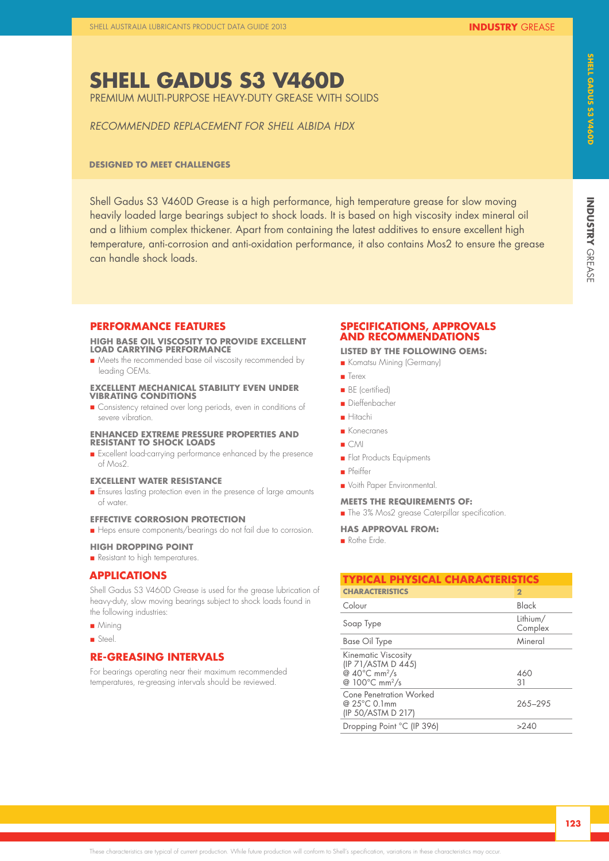### **SHELL GADUS S3 V460D**  PREMIUM MULTI-PURPOSE HEAVY-DUTY GREASE WITH SOLIDS

*RECOMMENDED REPLACEMENT FOR SHELL ALBIDA HDX*

#### **DESIGNED TO MEET CHALLENGES**

Shell Gadus S3 V460D Grease is a high performance, high temperature grease for slow moving heavily loaded large bearings subject to shock loads. It is based on high viscosity index mineral oil and a lithium complex thickener. Apart from containing the latest additives to ensure excellent high temperature, anti-corrosion and anti-oxidation performance, it also contains Mos2 to ensure the grease can handle shock loads.

#### **PERFORMANCE FEATURES**

#### **HIGH BASE OIL VISCOSITY TO PROVIDE EXCELLENT LOAD CARRYING PERFORMANCE**

**n** Meets the recommended base oil viscosity recommended by leading OEMs.

#### **EXCELLENT MECHANICAL STABILITY EVEN UNDER VIBRATING CONDITIONS**

**n** Consistency retained over long periods, even in conditions of severe vibration.

#### **ENHANCED EXTREME PRESSURE PROPERTIES AND RESISTANT TO SHOCK LOADS**

n Excellent load-carrying performance enhanced by the presence of Mos2.

#### **EXCELLENT WATER RESISTANCE**

**n** Ensures lasting protection even in the presence of large amounts of water.

#### **EFFECTIVE CORROSION PROTECTION**

n Heps ensure components/bearings do not fail due to corrosion.

#### **HIGH DROPPING POINT**

**n** Resistant to high temperatures.

#### **APPLICATIONS**

Shell Gadus S3 V460D Grease is used for the grease lubrication of heavy-duty, slow moving bearings subject to shock loads found in the following industries:

- $Mining$
- n Steel.

#### **RE-GREASING INTERVALS**

For bearings operating near their maximum recommended temperatures, re-greasing intervals should be reviewed.

#### **SPECIFICATIONS, APPROVALS AND RECOMMENDATIONS**

#### **LISTED BY THE FOLLOWING OEMS:**

- n Komatsu Mining (Germany)
- **n** Terex
- **BE** (certified)
- n Dieffenbacher
- n Hitachi
- **n** Konecranes
- $C$ MI
- **n** Flat Products Equipments
- n Pfeiffer
- **n** Voith Paper Environmental.

#### **MEETS THE REQUIREMENTS OF:**

**n** The 3% Mos2 grease Caterpillar specification.

#### **HAS APPROVAL FROM:**

n Rothe Erde.

| <b>TYPICAL PHYSICAL CHARACTERISTICS</b>                                                                                         |                     |  |
|---------------------------------------------------------------------------------------------------------------------------------|---------------------|--|
| <b>CHARACTERISTICS</b>                                                                                                          | $\mathbf{2}$        |  |
| Colour                                                                                                                          | Black               |  |
| Soap Type                                                                                                                       | Lithium/<br>Complex |  |
| Base Oil Type                                                                                                                   | Mineral             |  |
| <b>Kinematic Viscosity</b><br>(IP 71/ASTM D 445)<br>@ $40^{\circ}$ C mm <sup>2</sup> /s<br>@ $100^{\circ}$ C mm <sup>2</sup> /s | 460<br>31           |  |
| Cone Penetration Worked<br>@ 25°C 0.1mm<br>(IP 50/ASTM D 217)                                                                   | 265-295             |  |
| Dropping Point °C (IP 396)                                                                                                      | >240                |  |

**INDUSTRY**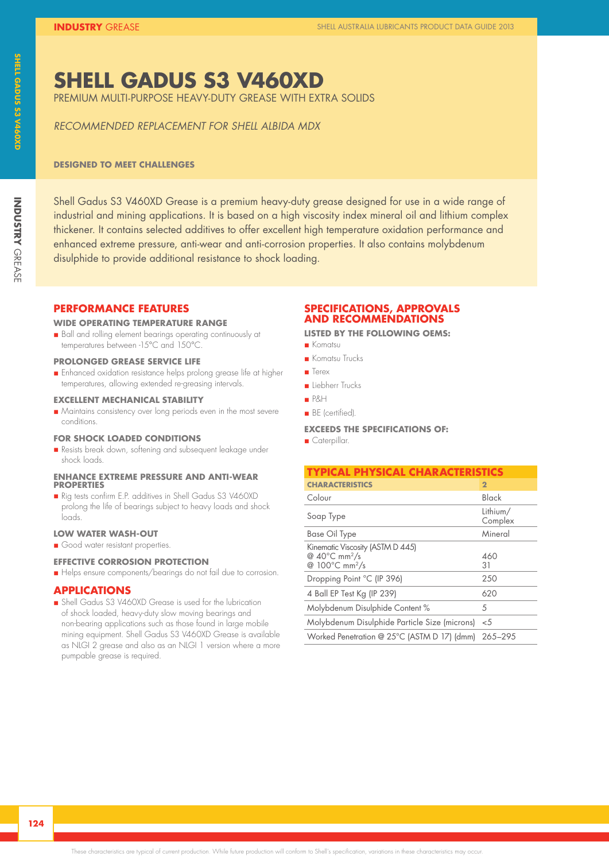### **SHELL GADUS S3 V460XD**

PREMIUM MULTI-PURPOSE HEAVY-DUTY GREASE WITH EXTRA SOLIDS

*RECOMMENDED REPLACEMENT FOR SHELL ALBIDA MDX*

#### **DESIGNED TO MEET CHALLENGES**

Shell Gadus S3 V460XD Grease is a premium heavy-duty grease designed for use in a wide range of industrial and mining applications. It is based on a high viscosity index mineral oil and lithium complex thickener. It contains selected additives to offer excellent high temperature oxidation performance and enhanced extreme pressure, anti-wear and anti-corrosion properties. It also contains molybdenum disulphide to provide additional resistance to shock loading.

#### **PERFORMANCE FEATURES**

#### **WIDE OPERATING TEMPERATURE RANGE**

n Ball and rolling element bearings operating continuously at temperatures between -15°C and 150°C.

#### **PROLONGED GREASE SERVICE LIFE**

**n** Enhanced oxidation resistance helps prolong grease life at higher temperatures, allowing extended re-greasing intervals.

#### **EXCELLENT MECHANICAL STABILITY**

n Maintains consistency over long periods even in the most severe conditions.

#### **FOR SHOCK LOADED CONDITIONS**

n Resists break down, softening and subsequent leakage under shock loads.

#### **ENHANCE EXTREME PRESSURE AND ANTI-WEAR PROPERTIES**

n Rig tests confirm E.P. additives in Shell Gadus S3 V460XD prolong the life of bearings subject to heavy loads and shock loads.

#### **LOW WATER WASH-OUT**

Good water resistant properties.

#### **EFFECTIVE CORROSION PROTECTION**

n Helps ensure components/bearings do not fail due to corrosion.

#### **APPLICATIONS**

n Shell Gadus S3 V460XD Grease is used for the lubrication of shock loaded, heavy-duty slow moving bearings and non-bearing applications such as those found in large mobile mining equipment. Shell Gadus S3 V460XD Grease is available as NLGI 2 grease and also as an NLGI 1 version where a more pumpable grease is required.

#### **SPECIFICATIONS, APPROVALS AND RECOMMENDATIONS**

**LISTED BY THE FOLLOWING OEMS:**

- n Komatsu
- **n** Komatsu Trucks
- **n** Terex
- n Liebherr Trucks
- n P&H
- **n** BE (certified).

#### **EXCEEDS THE SPECIFICATIONS OF:**

**n** Caterpillar.

| TYPICAL PHYSICAL CHARACTERISTICS                                                                      |                     |
|-------------------------------------------------------------------------------------------------------|---------------------|
| <b>CHARACTERISTICS</b>                                                                                | $\overline{2}$      |
| Colour                                                                                                | Black               |
| Soap Type                                                                                             | Lithium/<br>Complex |
| <b>Base Oil Type</b>                                                                                  | Mineral             |
| Kinematic Viscosity (ASTM D 445)<br>@ $40^{\circ}$ C mm <sup>2</sup> /s<br>@ 100°C mm <sup>2</sup> /s | 460<br>31           |
| Dropping Point °C (IP 396)                                                                            | 250                 |
| 4 Ball EP Test Kg (IP 239)                                                                            | 620                 |
| Molybdenum Disulphide Content %                                                                       | 5                   |
| Molybdenum Disulphide Particle Size (microns)                                                         | $<$ 5               |
| Worked Penetration @ 25°C (ASTM D 17) (dmm) 265-295                                                   |                     |

**INDUSTRY**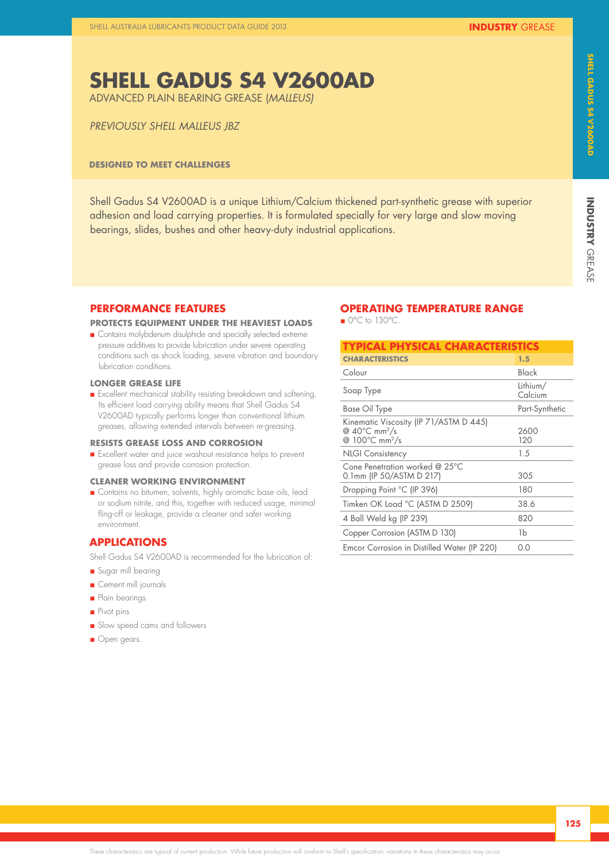## **SHELL GADUS S4 V2600AD**

ADVANCED PLAIN BEARING GREASE (*MALLEUS)*

#### *PREVIOUSLY SHELL MALLEUS JBZ*

#### **DESIGNED TO MEET CHALLENGES**

Shell Gadus S4 V2600AD is a unique Lithium/Calcium thickened part-synthetic grease with superior adhesion and load carrying properties. It is formulated specially for very large and slow moving bearings, slides, bushes and other heavy-duty industrial applications.

#### **PERFORMANCE FEATURES**

#### **PROTECTS EQUIPMENT UNDER THE HEAVIEST LOADS**

**n** Contains molybdenum disulphide and specially selected extreme pressure additives to provide lubrication under severe operating conditions such as shock loading, severe vibration and boundary lubrication conditions.

#### **LONGER GREASE LIFE**

n Excellent mechanical stability resisting breakdown and softening. Its efficient load carrying ability means that Shell Gadus S4 V2600AD typically performs longer than conventional lithium greases, allowing extended intervals between re-greasing.

#### **RESISTS GREASE LOSS AND CORROSION**

n Excellent water and juice washout resistance helps to prevent grease loss and provide corrosion protection.

#### **CLEANER WORKING ENVIRONMENT**

n Contains no bitumen, solvents, highly aromatic base oils, lead or sodium nitrite, and this, together with reduced usage, minimal fling-off or leakage, provide a cleaner and safer working environment.

#### **APPLICATIONS**

Shell Gadus S4 V2600AD is recommended for the lubrication of:

- Sugar mill bearing
- **n** Cement mill journals
- **n** Plain bearings
- n Pivot pins
- **n** Slow speed cams and followers
- **n** Open gears.

### **OPERATING TEMPERATURE RANGE**

 $\blacksquare$  0°C to 130°C.

| TYPICAL PHYSICAL CHARACTERISTICS                                                                                      |                     |
|-----------------------------------------------------------------------------------------------------------------------|---------------------|
| <b>CHARACTERISTICS</b>                                                                                                | 1.5                 |
| Colour                                                                                                                | Black               |
| Soap Type                                                                                                             | Lithium/<br>Calcium |
| Base Oil Type                                                                                                         | Part-Synthetic      |
| Kinematic Viscosity (IP 71/ASTM D 445)<br>@ 40 $\degree$ C mm <sup>2</sup> /s<br>@ 100 $\degree$ C mm <sup>2</sup> /s | 2600<br>120         |
| <b>NLGI Consistency</b>                                                                                               | 1.5                 |
| Cone Penetration worked @ 25°C<br>0.1mm (IP 50/ASTM D 217)                                                            | 305                 |
| Dropping Point °C (IP 396)                                                                                            | 180                 |
| Timken OK Load °C (ASTM D 2509)                                                                                       | 38.6                |
| 4 Ball Weld kg (IP 239)                                                                                               | 820                 |
| Copper Corrosion (ASTM D 130)                                                                                         | 1b                  |
| Emcor Corrosion in Distilled Water (IP 220)                                                                           | 0.0                 |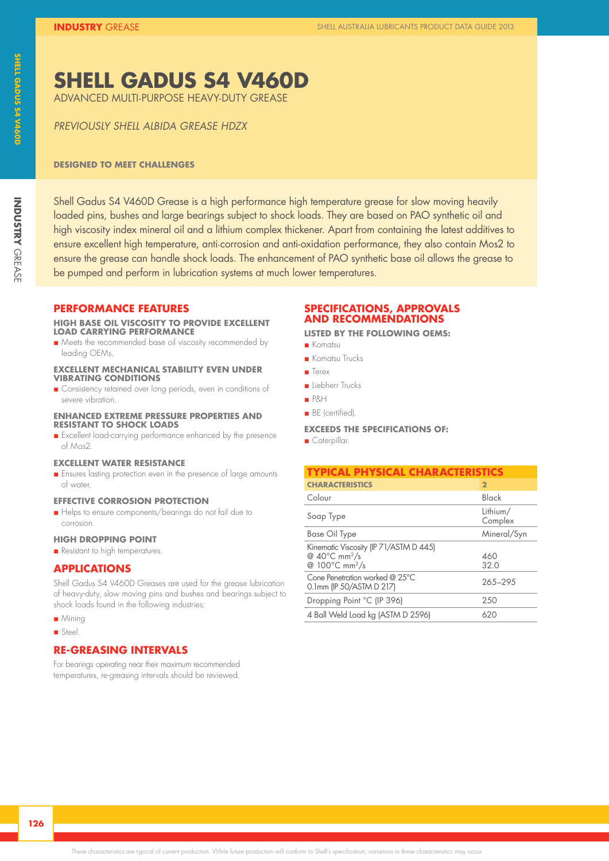### **SHELL GADUS S4 V460D**

ADVANCED MULTI-PURPOSE HEAVY-DUTY GREASE

*PREVIOUSLY SHELL ALBIDA GREASE HDZX* 

#### **DESIGNED TO MEET CHALLENGES**

Shell Gadus S4 V460D Grease is a high performance high temperature grease for slow moving heavily loaded pins, bushes and large bearings subject to shock loads. They are based on PAO synthetic oil and high viscosity index mineral oil and a lithium complex thickener. Apart from containing the latest additives to ensure excellent high temperature, anti-corrosion and anti-oxidation performance, they also contain Mos2 to ensure the grease can handle shock loads. The enhancement of PAO synthetic base oil allows the grease to be pumped and perform in lubrication systems at much lower temperatures.

#### **PERFORMANCE FEATURES**

#### **HIGH BASE OIL VISCOSITY TO PROVIDE EXCELLENT LOAD CARRYING PERFORMANCE**

n Meets the recommended base oil viscosity recommended by leading OEMs.

#### **EXCELLENT MECHANICAL STABILITY EVEN UNDER VIBRATING CONDITIONS**

**n** Consistency retained over long periods, even in conditions of severe vibration.

#### **ENHANCED EXTREME PRESSURE PROPERTIES AND RESISTANT TO SHOCK LOADS**

n Excellent load-carrying performance enhanced by the presence of Mos2.

#### **EXCELLENT WATER RESISTANCE**

**n** Ensures lasting protection even in the presence of large amounts of water.

#### **EFFECTIVE CORROSION PROTECTION**

Helps to ensure components/bearings do not fail due to corrosion.

#### **HIGH DROPPING POINT**

**n** Resistant to high temperatures.

#### **APPLICATIONS**

Shell Gadus S4 V460D Greases are used for the grease lubrication of heavy-duty, slow moving pins and bushes and bearings subject to shock loads found in the following industries:

- $Mining$
- **n** Steel.

#### **RE-GREASING INTERVALS**

For bearings operating near their maximum recommended temperatures, re-greasing intervals should be reviewed.

#### **SPECIFICATIONS, APPROVALS AND RECOMMENDATIONS**

**LISTED BY THE FOLLOWING OEMS:**

- n Komatsu
- **n** Komatsu Trucks
- n Terex
- n Liebherr Trucks
- n P&H
- **n** BE (certified).

#### **EXCEEDS THE SPECIFICATIONS OF:**

**n** Caterpillar.

| <b>TYPICAL PHYSICAL CHARACTERISTICS</b>                                                                     |                     |  |
|-------------------------------------------------------------------------------------------------------------|---------------------|--|
| <b>CHARACTERISTICS</b>                                                                                      | $\mathbf{2}$        |  |
| Colour                                                                                                      | Black               |  |
| Soap Type                                                                                                   | Lithium/<br>Complex |  |
| <b>Base Oil Type</b>                                                                                        | Mineral/Syn         |  |
| Kinematic Viscosity (IP 71/ASTM D 445)<br>@ $40^{\circ}$ C mm <sup>2</sup> /s<br>@ 100°C mm <sup>2</sup> /s | 460<br>32.0         |  |
| Cone Penetration worked @ 25°C<br>0.1mm (IP 50/ASTM D 217)                                                  | 265-295             |  |
| Dropping Point °C (IP 396)                                                                                  | 250                 |  |
| 4 Ball Weld Load kg (ASTM D 2596)                                                                           | 620                 |  |

**INDUSTRY**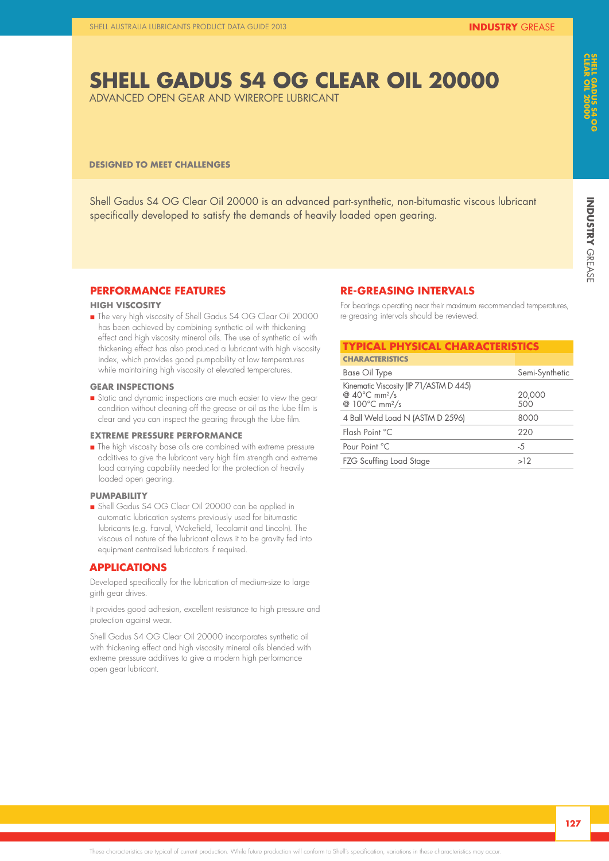# **INDUSTRY GREASE INDUSTRY**

## **SHELL GADUS S4 OG CLEAR OIL 20000**

ADVANCED OPEN GEAR AND WIREROPE LUBRICANT

#### **DESIGNED TO MEET CHALLENGES**

Shell Gadus S4 OG Clear Oil 20000 is an advanced part-synthetic, non-bitumastic viscous lubricant specifically developed to satisfy the demands of heavily loaded open gearing.

#### **PERFORMANCE FEATURES**

#### **HIGH VISCOSITY**

n The very high viscosity of Shell Gadus S4 OG Clear Oil 20000 has been achieved by combining synthetic oil with thickening effect and high viscosity mineral oils. The use of synthetic oil with thickening effect has also produced a lubricant with high viscosity index, which provides good pumpability at low temperatures while maintaining high viscosity at elevated temperatures.

#### **GEAR INSPECTIONS**

n Static and dynamic inspections are much easier to view the gear condition without cleaning off the grease or oil as the lube film is clear and you can inspect the gearing through the lube film.

#### **EXTREME PRESSURE PERFORMANCE**

**n** The high viscosity base oils are combined with extreme pressure additives to give the lubricant very high film strength and extreme load carrying capability needed for the protection of heavily loaded open gearing.

#### **PUMPABILITY**

n Shell Gadus S4 OG Clear Oil 20000 can be applied in automatic lubrication systems previously used for bitumastic lubricants (e.g. Farval, Wakefield, Tecalamit and Lincoln). The viscous oil nature of the lubricant allows it to be gravity fed into equipment centralised lubricators if required.

#### **APPLICATIONS**

Developed specifically for the lubrication of medium-size to large girth gear drives.

It provides good adhesion, excellent resistance to high pressure and protection against wear.

Shell Gadus S4 OG Clear Oil 20000 incorporates synthetic oil with thickening effect and high viscosity mineral oils blended with extreme pressure additives to give a modern high performance open gear lubricant.

#### **RE-GREASING INTERVALS**

For bearings operating near their maximum recommended temperatures, re-greasing intervals should be reviewed.

| <b>TYPICAL PHYSICAL CHARACTERISTICS</b>                                                                     |                |  |
|-------------------------------------------------------------------------------------------------------------|----------------|--|
| <b>CHARACTERISTICS</b>                                                                                      |                |  |
| Base Oil Type                                                                                               | Semi-Synthetic |  |
| Kinematic Viscosity (IP 71/ASTM D 445)<br>@ $40^{\circ}$ C mm <sup>2</sup> /s<br>@ 100°C mm <sup>2</sup> /s | 20,000<br>500  |  |
| 4 Ball Weld Load N (ASTM D 2596)                                                                            | 8000           |  |
| Flash Point °C                                                                                              | 220            |  |
| Pour Point °C                                                                                               | $-5$           |  |
| <b>FZG Scuffing Load Stage</b>                                                                              | >12            |  |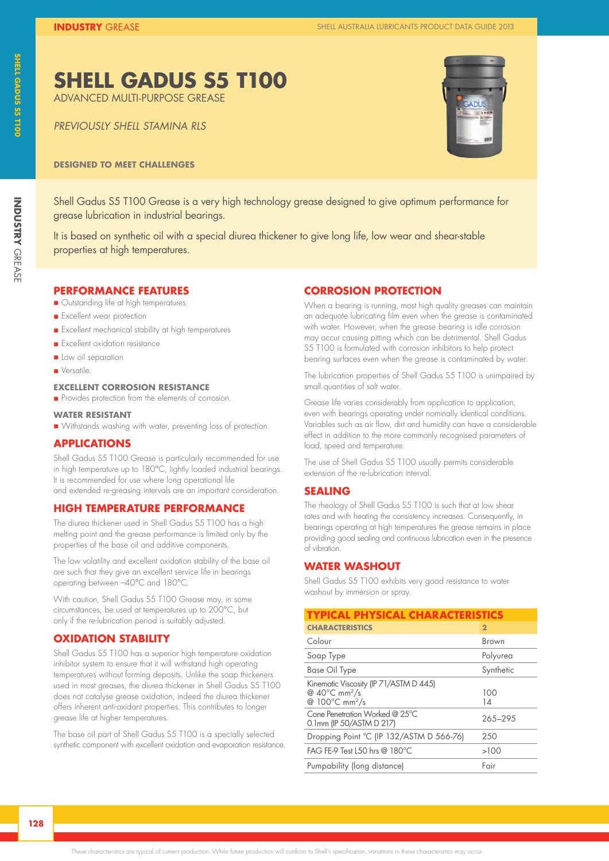# **INDUSTRY GREASE INDUSTRY**

#### Shell Gadus S5 T100 Grease is a very high technology grease designed to give optimum performance for grease lubrication in industrial bearings.

**DESIGNED TO MEET CHALLENGES**

**SHELL GADUS S5 T100** 

ADVANCED MULTI-PURPOSE GREASE

*PREVIOUSLY SHELL STAMINA RLS* 

It is based on synthetic oil with a special diurea thickener to give long life, low wear and shear-stable properties at high temperatures.

### **PERFORMANCE FEATURES**

- **n** Outstanding life at high temperatures
- **n** Excellent wear protection
- n Excellent mechanical stability at high temperatures
- **n** Excellent oxidation resistance
- n Low oil separation
- **N** Versatile.

#### **EXCELLENT CORROSION RESISTANCE**

n Provides protection from the elements of corrosion.

#### **WATER RESISTANT**

n Withstands washing with water, preventing loss of protection.

#### **APPLICATIONS**

Shell Gadus S5 T100 Grease is particularly recommended for use in high temperature up to 180°C, lightly loaded industrial bearings. It is recommended for use where long operational life and extended re-greasing intervals are an important consideration.

#### **HIGH TEMPERATURE PERFORMANCE**

The diurea thickener used in Shell Gadus S5 T100 has a high melting point and the grease performance is limited only by the properties of the base oil and additive components.

The low volatility and excellent oxidation stability of the base oil are such that they give an excellent service life in bearings operating between –40°C and 180°C.

With caution, Shell Gadus S5 T100 Grease may, in some circumstances, be used at temperatures up to 200°C, but only if the re-lubrication period is suitably adjusted.

#### **OXIDATION STABILITY**

Shell Gadus S5 T100 has a superior high temperature oxidation inhibitor system to ensure that it will withstand high operating temperatures without forming deposits. Unlike the soap thickeners used in most greases, the diurea thickener in Shell Gadus S5 T100 does not catalyse grease oxidation, indeed the diurea thickener offers inherent anti-oxidant properties. This contributes to longer grease life at higher temperatures.

The base oil part of Shell Gadus S5 T100 is a specially selected synthetic component with excellent oxidation and evaporation resistance.

#### **CORROSION PROTECTION**

When a bearing is running, most high quality greases can maintain an adequate lubricating film even when the grease is contaminated with water. However, when the grease bearing is idle corrosion may occur causing pitting which can be detrimental. Shell Gadus S5 T100 is formulated with corrosion inhibitors to help protect bearing surfaces even when the grease is contaminated by water.

The lubrication properties of Shell Gadus S5 T100 is unimpaired by small quantities of salt water.

Grease life varies considerably from application to application, even with bearings operating under nominally identical conditions. Variables such as air flow, dirt and humidity can have a considerable effect in addition to the more commonly recognised parameters of load, speed and temperature.

The use of Shell Gadus S5 T100 usually permits considerable extension of the re-lubrication interval.

#### **SEALING**

The rheology of Shell Gadus S5 T100 is such that at low shear rates and with heating the consistency increases. Consequently, in bearings operating at high temperatures the grease remains in place providing good sealing and continuous lubrication even in the presence of vibration.

#### **WATER WASHOUT**

Shell Gadus S5 T100 exhibits very good resistance to water washout by immersion or spray.

| <b>TYPICAL PHYSICAL CHARACTERISTICS</b>                                                                               |                |  |
|-----------------------------------------------------------------------------------------------------------------------|----------------|--|
| <b>CHARACTERISTICS</b>                                                                                                | $\overline{2}$ |  |
| Colour                                                                                                                | Brown          |  |
| Soap Type                                                                                                             | Polyurea       |  |
| <b>Base Oil Type</b>                                                                                                  | Synthetic      |  |
| Kinematic Viscosity (IP 71/ASTM D 445)<br>@ $40^{\circ}$ C mm <sup>2</sup> /s<br>@ $100^{\circ}$ C mm <sup>2</sup> /s | 100<br>14      |  |
| Cone Penetration Worked @ $25^{\circ}$ C<br>0.1mm (IP 50/ASTM D 217)                                                  | 265-295        |  |
| Dropping Point °C (IP 132/ASTM D 566-76)                                                                              | 250            |  |
| FAG FE-9 Test L50 hrs @ 180°C                                                                                         | >100           |  |
| Pumpability (long distance)                                                                                           | Fair           |  |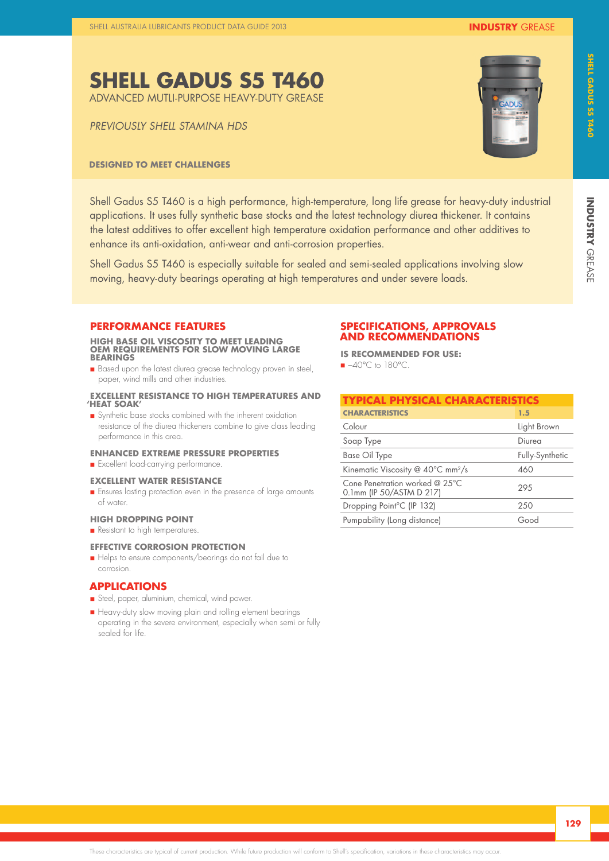*PREVIOUSLY SHELL STAMINA HDS*

#### **DESIGNED TO MEET CHALLENGES**

Shell Gadus S5 T460 is a high performance, high-temperature, long life grease for heavy-duty industrial applications. It uses fully synthetic base stocks and the latest technology diurea thickener. It contains the latest additives to offer excellent high temperature oxidation performance and other additives to enhance its anti-oxidation, anti-wear and anti-corrosion properties.

Shell Gadus S5 T460 is especially suitable for sealed and semi-sealed applications involving slow moving, heavy-duty bearings operating at high temperatures and under severe loads.

#### **PERFORMANCE FEATURES**

**HIGH BASE OIL VISCOSITY TO MEET LEADING OEM REQUIREMENTS FOR SLOW MOVING LARGE BEARINGS**

**n** Based upon the latest diurea grease technology proven in steel, paper, wind mills and other industries.

#### **EXCELLENT RESISTANCE TO HIGH TEMPERATURES AND 'HEAT SOAK'**

n Synthetic base stocks combined with the inherent oxidation resistance of the diurea thickeners combine to give class leading performance in this area.

#### **ENHANCED EXTREME PRESSURE PROPERTIES**

**n** Excellent load-carrying performance.

#### **EXCELLENT WATER RESISTANCE**

n Ensures lasting protection even in the presence of large amounts of water.

#### **HIGH DROPPING POINT**

**n** Resistant to high temperatures.

#### **EFFECTIVE CORROSION PROTECTION**

Helps to ensure components/bearings do not fail due to corrosion.

#### **APPLICATIONS**

- n Steel, paper, aluminium, chemical, wind power.
- n Heavy-duty slow moving plain and rolling element bearings operating in the severe environment, especially when semi or fully sealed for life.

#### **SPECIFICATIONS, APPROVALS AND RECOMMENDATIONS**

**IS RECOMMENDED FOR USE:**

 $-40^{\circ}$ C to 180 $^{\circ}$ C.

| TYPICAL PHYSICAL CHARACTERISTICS                             |                 |  |
|--------------------------------------------------------------|-----------------|--|
| <b>CHARACTERISTICS</b>                                       | 1.5             |  |
| Colour                                                       | Light Brown     |  |
| Soap Type                                                    | Diurea          |  |
| <b>Base Oil Type</b>                                         | Fully-Synthetic |  |
| Kinematic Viscosity @ 40°C mm <sup>2</sup> /s                | 460             |  |
| Cone Penetration worked $@$ 25°C<br>0.1mm (IP 50/ASTM D 217) | 29.5            |  |
| Dropping Point <sup>°</sup> C (IP 132)                       | 250             |  |
| Pumpability (Long distance)                                  | Good            |  |
|                                                              |                 |  |



**INDUSTRY**